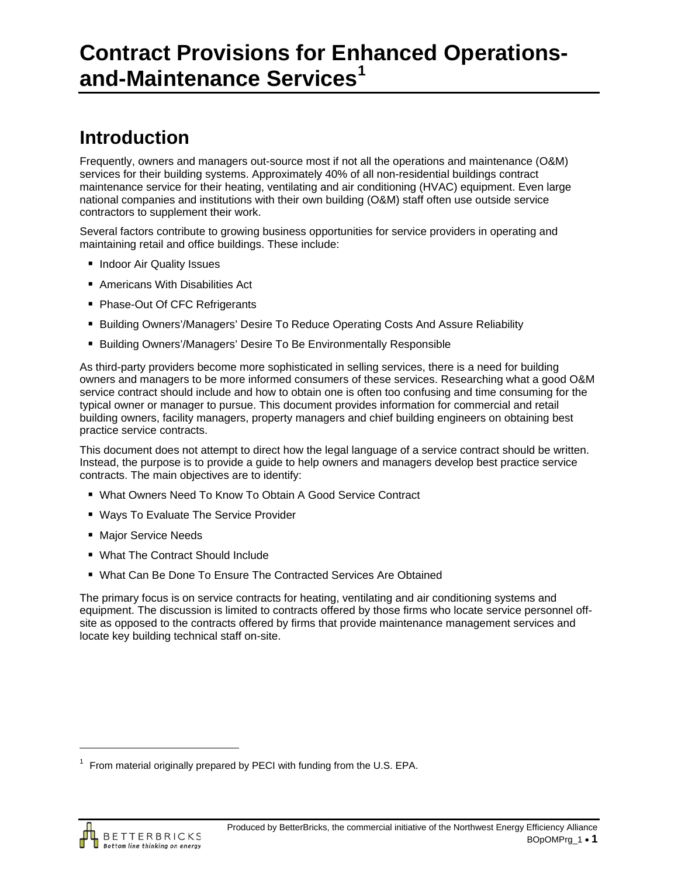# **Contract Provisions for Enhanced Operationsand-Maintenance Services<sup>1</sup>**

# **Introduction**

Frequently, owners and managers out-source most if not all the operations and maintenance (O&M) services for their building systems. Approximately 40% of all non-residential buildings contract maintenance service for their heating, ventilating and air conditioning (HVAC) equipment. Even large national companies and institutions with their own building (O&M) staff often use outside service contractors to supplement their work.

Several factors contribute to growing business opportunities for service providers in operating and maintaining retail and office buildings. These include:

- **Indoor Air Quality Issues**
- Americans With Disabilities Act
- Phase-Out Of CFC Refrigerants
- **Building Owners'/Managers' Desire To Reduce Operating Costs And Assure Reliability**
- Building Owners'/Managers' Desire To Be Environmentally Responsible

As third-party providers become more sophisticated in selling services, there is a need for building owners and managers to be more informed consumers of these services. Researching what a good O&M service contract should include and how to obtain one is often too confusing and time consuming for the typical owner or manager to pursue. This document provides information for commercial and retail building owners, facility managers, property managers and chief building engineers on obtaining best practice service contracts.

This document does not attempt to direct how the legal language of a service contract should be written. Instead, the purpose is to provide a guide to help owners and managers develop best practice service contracts. The main objectives are to identify:

- What Owners Need To Know To Obtain A Good Service Contract
- **Ways To Evaluate The Service Provider**
- **Major Service Needs**
- What The Contract Should Include
- What Can Be Done To Ensure The Contracted Services Are Obtained

The primary focus is on service contracts for heating, ventilating and air conditioning systems and equipment. The discussion is limited to contracts offered by those firms who locate service personnel offsite as opposed to the contracts offered by firms that provide maintenance management services and locate key building technical staff on-site.

l

 $1$  From material originally prepared by PECI with funding from the U.S. EPA.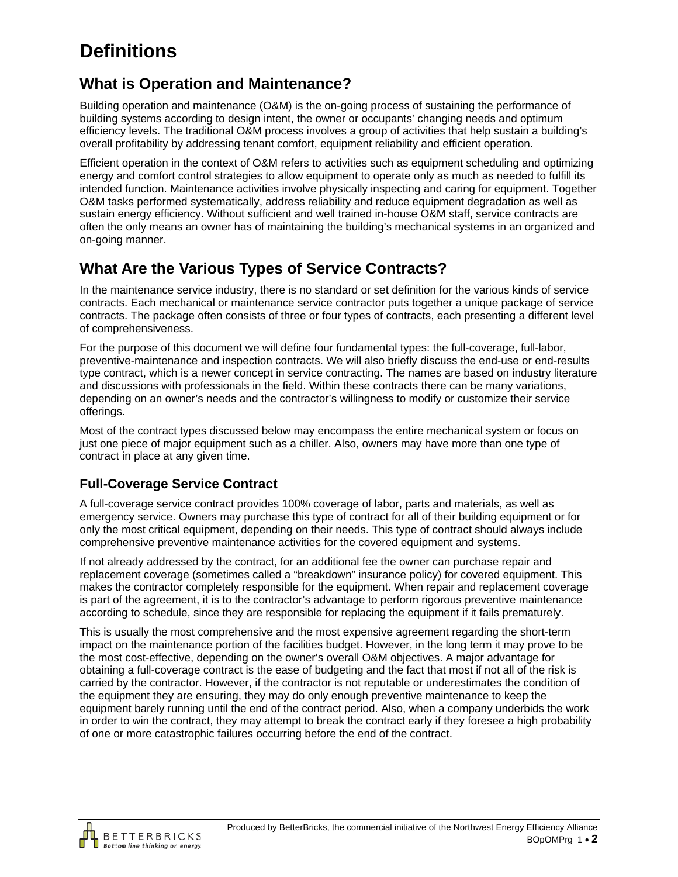# **Definitions**

# **What is Operation and Maintenance?**

Building operation and maintenance (O&M) is the on-going process of sustaining the performance of building systems according to design intent, the owner or occupants' changing needs and optimum efficiency levels. The traditional O&M process involves a group of activities that help sustain a building's overall profitability by addressing tenant comfort, equipment reliability and efficient operation.

Efficient operation in the context of O&M refers to activities such as equipment scheduling and optimizing energy and comfort control strategies to allow equipment to operate only as much as needed to fulfill its intended function. Maintenance activities involve physically inspecting and caring for equipment. Together O&M tasks performed systematically, address reliability and reduce equipment degradation as well as sustain energy efficiency. Without sufficient and well trained in-house O&M staff, service contracts are often the only means an owner has of maintaining the building's mechanical systems in an organized and on-going manner.

# **What Are the Various Types of Service Contracts?**

In the maintenance service industry, there is no standard or set definition for the various kinds of service contracts. Each mechanical or maintenance service contractor puts together a unique package of service contracts. The package often consists of three or four types of contracts, each presenting a different level of comprehensiveness.

For the purpose of this document we will define four fundamental types: the full-coverage, full-labor, preventive-maintenance and inspection contracts. We will also briefly discuss the end-use or end-results type contract, which is a newer concept in service contracting. The names are based on industry literature and discussions with professionals in the field. Within these contracts there can be many variations, depending on an owner's needs and the contractor's willingness to modify or customize their service offerings.

Most of the contract types discussed below may encompass the entire mechanical system or focus on just one piece of major equipment such as a chiller. Also, owners may have more than one type of contract in place at any given time.

## **Full-Coverage Service Contract**

A full-coverage service contract provides 100% coverage of labor, parts and materials, as well as emergency service. Owners may purchase this type of contract for all of their building equipment or for only the most critical equipment, depending on their needs. This type of contract should always include comprehensive preventive maintenance activities for the covered equipment and systems.

If not already addressed by the contract, for an additional fee the owner can purchase repair and replacement coverage (sometimes called a "breakdown" insurance policy) for covered equipment. This makes the contractor completely responsible for the equipment. When repair and replacement coverage is part of the agreement, it is to the contractor's advantage to perform rigorous preventive maintenance according to schedule, since they are responsible for replacing the equipment if it fails prematurely.

This is usually the most comprehensive and the most expensive agreement regarding the short-term impact on the maintenance portion of the facilities budget. However, in the long term it may prove to be the most cost-effective, depending on the owner's overall O&M objectives. A major advantage for obtaining a full-coverage contract is the ease of budgeting and the fact that most if not all of the risk is carried by the contractor. However, if the contractor is not reputable or underestimates the condition of the equipment they are ensuring, they may do only enough preventive maintenance to keep the equipment barely running until the end of the contract period. Also, when a company underbids the work in order to win the contract, they may attempt to break the contract early if they foresee a high probability of one or more catastrophic failures occurring before the end of the contract.

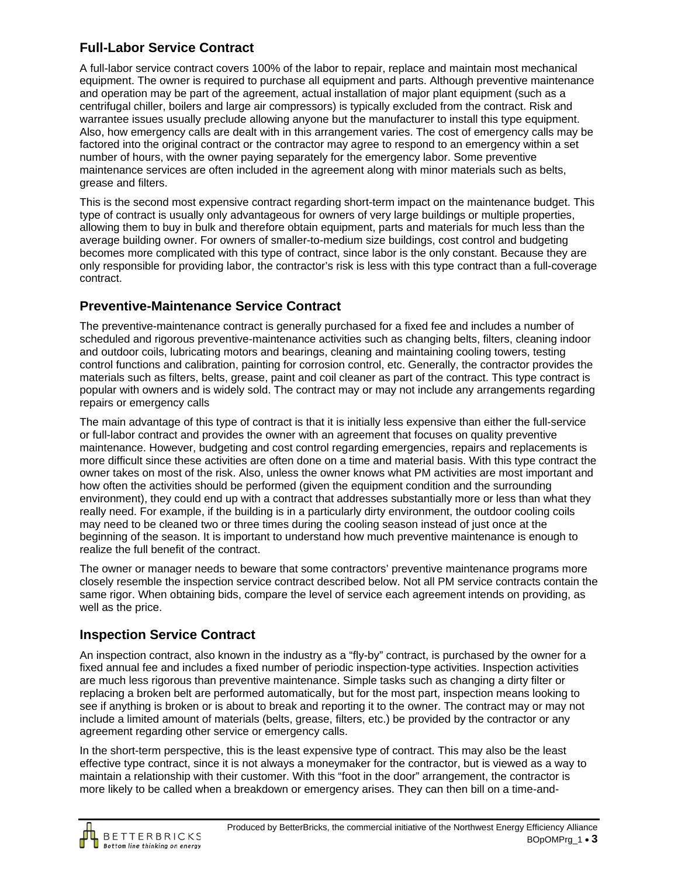## **Full-Labor Service Contract**

A full-labor service contract covers 100% of the labor to repair, replace and maintain most mechanical equipment. The owner is required to purchase all equipment and parts. Although preventive maintenance and operation may be part of the agreement, actual installation of major plant equipment (such as a centrifugal chiller, boilers and large air compressors) is typically excluded from the contract. Risk and warrantee issues usually preclude allowing anyone but the manufacturer to install this type equipment. Also, how emergency calls are dealt with in this arrangement varies. The cost of emergency calls may be factored into the original contract or the contractor may agree to respond to an emergency within a set number of hours, with the owner paying separately for the emergency labor. Some preventive maintenance services are often included in the agreement along with minor materials such as belts, grease and filters.

This is the second most expensive contract regarding short-term impact on the maintenance budget. This type of contract is usually only advantageous for owners of very large buildings or multiple properties, allowing them to buy in bulk and therefore obtain equipment, parts and materials for much less than the average building owner. For owners of smaller-to-medium size buildings, cost control and budgeting becomes more complicated with this type of contract, since labor is the only constant. Because they are only responsible for providing labor, the contractor's risk is less with this type contract than a full-coverage contract.

## **Preventive-Maintenance Service Contract**

The preventive-maintenance contract is generally purchased for a fixed fee and includes a number of scheduled and rigorous preventive-maintenance activities such as changing belts, filters, cleaning indoor and outdoor coils, lubricating motors and bearings, cleaning and maintaining cooling towers, testing control functions and calibration, painting for corrosion control, etc. Generally, the contractor provides the materials such as filters, belts, grease, paint and coil cleaner as part of the contract. This type contract is popular with owners and is widely sold. The contract may or may not include any arrangements regarding repairs or emergency calls

The main advantage of this type of contract is that it is initially less expensive than either the full-service or full-labor contract and provides the owner with an agreement that focuses on quality preventive maintenance. However, budgeting and cost control regarding emergencies, repairs and replacements is more difficult since these activities are often done on a time and material basis. With this type contract the owner takes on most of the risk. Also, unless the owner knows what PM activities are most important and how often the activities should be performed (given the equipment condition and the surrounding environment), they could end up with a contract that addresses substantially more or less than what they really need. For example, if the building is in a particularly dirty environment, the outdoor cooling coils may need to be cleaned two or three times during the cooling season instead of just once at the beginning of the season. It is important to understand how much preventive maintenance is enough to realize the full benefit of the contract.

The owner or manager needs to beware that some contractors' preventive maintenance programs more closely resemble the inspection service contract described below. Not all PM service contracts contain the same rigor. When obtaining bids, compare the level of service each agreement intends on providing, as well as the price.

## **Inspection Service Contract**

An inspection contract, also known in the industry as a "fly-by" contract, is purchased by the owner for a fixed annual fee and includes a fixed number of periodic inspection-type activities. Inspection activities are much less rigorous than preventive maintenance. Simple tasks such as changing a dirty filter or replacing a broken belt are performed automatically, but for the most part, inspection means looking to see if anything is broken or is about to break and reporting it to the owner. The contract may or may not include a limited amount of materials (belts, grease, filters, etc.) be provided by the contractor or any agreement regarding other service or emergency calls.

In the short-term perspective, this is the least expensive type of contract. This may also be the least effective type contract, since it is not always a moneymaker for the contractor, but is viewed as a way to maintain a relationship with their customer. With this "foot in the door" arrangement, the contractor is more likely to be called when a breakdown or emergency arises. They can then bill on a time-and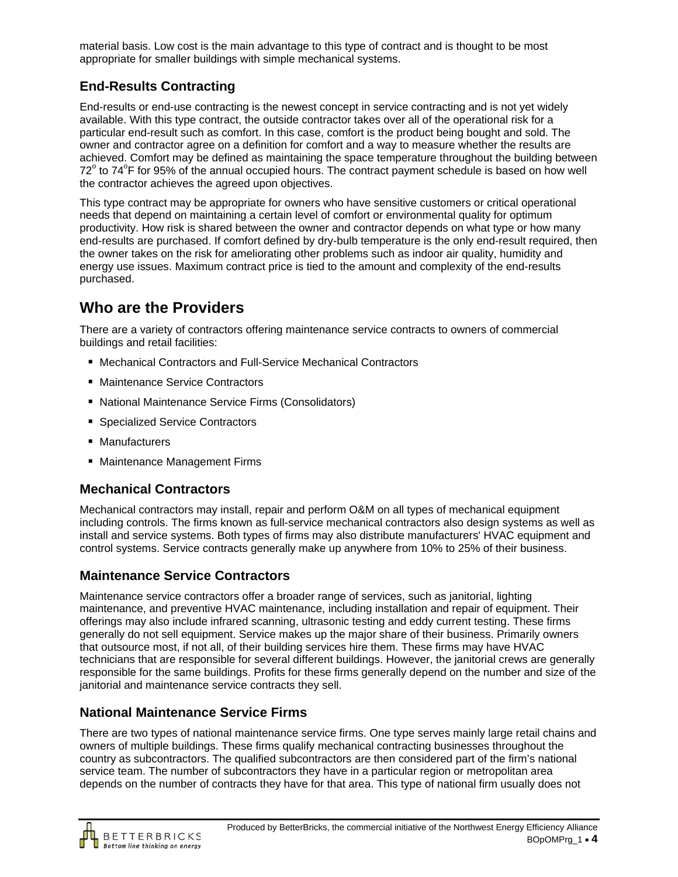material basis. Low cost is the main advantage to this type of contract and is thought to be most appropriate for smaller buildings with simple mechanical systems.

## **End-Results Contracting**

End-results or end-use contracting is the newest concept in service contracting and is not yet widely available. With this type contract, the outside contractor takes over all of the operational risk for a particular end-result such as comfort. In this case, comfort is the product being bought and sold. The owner and contractor agree on a definition for comfort and a way to measure whether the results are achieved. Comfort may be defined as maintaining the space temperature throughout the building between 72° to 74°F for 95% of the annual occupied hours. The contract payment schedule is based on how well the contractor achieves the agreed upon objectives.

This type contract may be appropriate for owners who have sensitive customers or critical operational needs that depend on maintaining a certain level of comfort or environmental quality for optimum productivity. How risk is shared between the owner and contractor depends on what type or how many end-results are purchased. If comfort defined by dry-bulb temperature is the only end-result required, then the owner takes on the risk for ameliorating other problems such as indoor air quality, humidity and energy use issues. Maximum contract price is tied to the amount and complexity of the end-results purchased.

## **Who are the Providers**

There are a variety of contractors offering maintenance service contracts to owners of commercial buildings and retail facilities:

- Mechanical Contractors and Full-Service Mechanical Contractors
- Maintenance Service Contractors
- National Maintenance Service Firms (Consolidators)
- **Specialized Service Contractors**
- Manufacturers
- **Maintenance Management Firms**

### **Mechanical Contractors**

Mechanical contractors may install, repair and perform O&M on all types of mechanical equipment including controls. The firms known as full-service mechanical contractors also design systems as well as install and service systems. Both types of firms may also distribute manufacturers' HVAC equipment and control systems. Service contracts generally make up anywhere from 10% to 25% of their business.

## **Maintenance Service Contractors**

Maintenance service contractors offer a broader range of services, such as janitorial, lighting maintenance, and preventive HVAC maintenance, including installation and repair of equipment. Their offerings may also include infrared scanning, ultrasonic testing and eddy current testing. These firms generally do not sell equipment. Service makes up the major share of their business. Primarily owners that outsource most, if not all, of their building services hire them. These firms may have HVAC technicians that are responsible for several different buildings. However, the janitorial crews are generally responsible for the same buildings. Profits for these firms generally depend on the number and size of the janitorial and maintenance service contracts they sell.

### **National Maintenance Service Firms**

There are two types of national maintenance service firms. One type serves mainly large retail chains and owners of multiple buildings. These firms qualify mechanical contracting businesses throughout the country as subcontractors. The qualified subcontractors are then considered part of the firm's national service team. The number of subcontractors they have in a particular region or metropolitan area depends on the number of contracts they have for that area. This type of national firm usually does not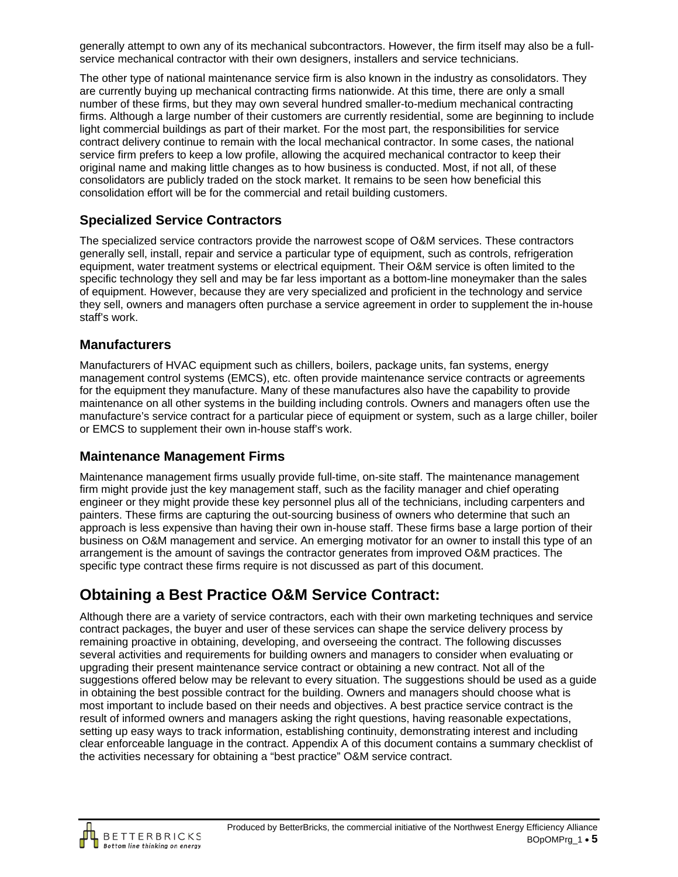generally attempt to own any of its mechanical subcontractors. However, the firm itself may also be a fullservice mechanical contractor with their own designers, installers and service technicians.

The other type of national maintenance service firm is also known in the industry as consolidators. They are currently buying up mechanical contracting firms nationwide. At this time, there are only a small number of these firms, but they may own several hundred smaller-to-medium mechanical contracting firms. Although a large number of their customers are currently residential, some are beginning to include light commercial buildings as part of their market. For the most part, the responsibilities for service contract delivery continue to remain with the local mechanical contractor. In some cases, the national service firm prefers to keep a low profile, allowing the acquired mechanical contractor to keep their original name and making little changes as to how business is conducted. Most, if not all, of these consolidators are publicly traded on the stock market. It remains to be seen how beneficial this consolidation effort will be for the commercial and retail building customers.

### **Specialized Service Contractors**

The specialized service contractors provide the narrowest scope of O&M services. These contractors generally sell, install, repair and service a particular type of equipment, such as controls, refrigeration equipment, water treatment systems or electrical equipment. Their O&M service is often limited to the specific technology they sell and may be far less important as a bottom-line moneymaker than the sales of equipment. However, because they are very specialized and proficient in the technology and service they sell, owners and managers often purchase a service agreement in order to supplement the in-house staff's work.

#### **Manufacturers**

Manufacturers of HVAC equipment such as chillers, boilers, package units, fan systems, energy management control systems (EMCS), etc. often provide maintenance service contracts or agreements for the equipment they manufacture. Many of these manufactures also have the capability to provide maintenance on all other systems in the building including controls. Owners and managers often use the manufacture's service contract for a particular piece of equipment or system, such as a large chiller, boiler or EMCS to supplement their own in-house staff's work.

### **Maintenance Management Firms**

Maintenance management firms usually provide full-time, on-site staff. The maintenance management firm might provide just the key management staff, such as the facility manager and chief operating engineer or they might provide these key personnel plus all of the technicians, including carpenters and painters. These firms are capturing the out-sourcing business of owners who determine that such an approach is less expensive than having their own in-house staff. These firms base a large portion of their business on O&M management and service. An emerging motivator for an owner to install this type of an arrangement is the amount of savings the contractor generates from improved O&M practices. The specific type contract these firms require is not discussed as part of this document.

# **Obtaining a Best Practice O&M Service Contract:**

Although there are a variety of service contractors, each with their own marketing techniques and service contract packages, the buyer and user of these services can shape the service delivery process by remaining proactive in obtaining, developing, and overseeing the contract. The following discusses several activities and requirements for building owners and managers to consider when evaluating or upgrading their present maintenance service contract or obtaining a new contract. Not all of the suggestions offered below may be relevant to every situation. The suggestions should be used as a guide in obtaining the best possible contract for the building. Owners and managers should choose what is most important to include based on their needs and objectives. A best practice service contract is the result of informed owners and managers asking the right questions, having reasonable expectations, setting up easy ways to track information, establishing continuity, demonstrating interest and including clear enforceable language in the contract. Appendix A of this document contains a summary checklist of the activities necessary for obtaining a "best practice" O&M service contract.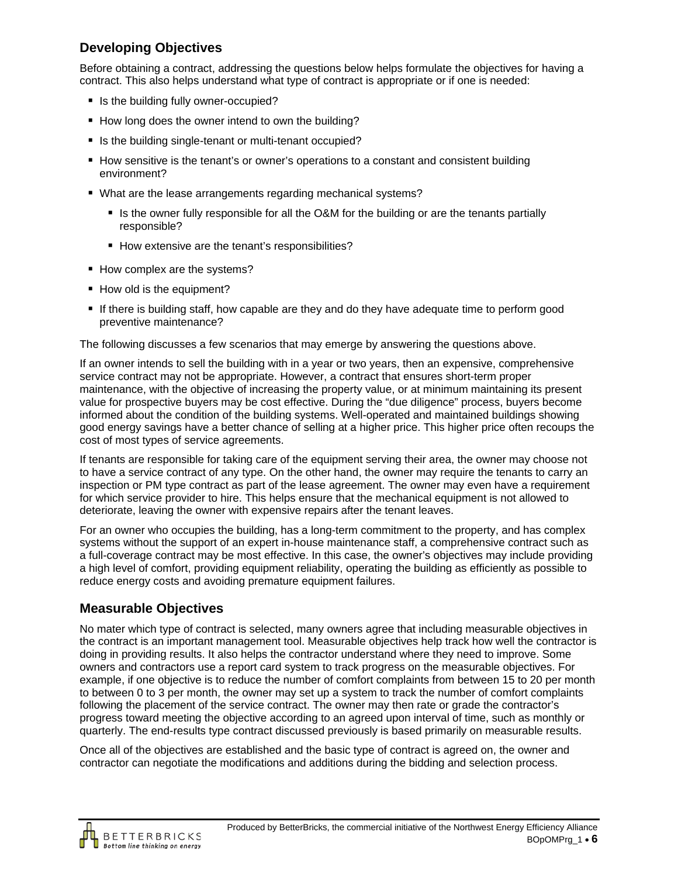## **Developing Objectives**

Before obtaining a contract, addressing the questions below helps formulate the objectives for having a contract. This also helps understand what type of contract is appropriate or if one is needed:

- Is the building fully owner-occupied?
- How long does the owner intend to own the building?
- Is the building single-tenant or multi-tenant occupied?
- How sensitive is the tenant's or owner's operations to a constant and consistent building environment?
- What are the lease arrangements regarding mechanical systems?
	- Is the owner fully responsible for all the O&M for the building or are the tenants partially responsible?
	- How extensive are the tenant's responsibilities?
- How complex are the systems?
- How old is the equipment?
- If there is building staff, how capable are they and do they have adequate time to perform good preventive maintenance?

The following discusses a few scenarios that may emerge by answering the questions above.

If an owner intends to sell the building with in a year or two years, then an expensive, comprehensive service contract may not be appropriate. However, a contract that ensures short-term proper maintenance, with the objective of increasing the property value, or at minimum maintaining its present value for prospective buyers may be cost effective. During the "due diligence" process, buyers become informed about the condition of the building systems. Well-operated and maintained buildings showing good energy savings have a better chance of selling at a higher price. This higher price often recoups the cost of most types of service agreements.

If tenants are responsible for taking care of the equipment serving their area, the owner may choose not to have a service contract of any type. On the other hand, the owner may require the tenants to carry an inspection or PM type contract as part of the lease agreement. The owner may even have a requirement for which service provider to hire. This helps ensure that the mechanical equipment is not allowed to deteriorate, leaving the owner with expensive repairs after the tenant leaves.

For an owner who occupies the building, has a long-term commitment to the property, and has complex systems without the support of an expert in-house maintenance staff, a comprehensive contract such as a full-coverage contract may be most effective. In this case, the owner's objectives may include providing a high level of comfort, providing equipment reliability, operating the building as efficiently as possible to reduce energy costs and avoiding premature equipment failures.

### **Measurable Objectives**

No mater which type of contract is selected, many owners agree that including measurable objectives in the contract is an important management tool. Measurable objectives help track how well the contractor is doing in providing results. It also helps the contractor understand where they need to improve. Some owners and contractors use a report card system to track progress on the measurable objectives. For example, if one objective is to reduce the number of comfort complaints from between 15 to 20 per month to between 0 to 3 per month, the owner may set up a system to track the number of comfort complaints following the placement of the service contract. The owner may then rate or grade the contractor's progress toward meeting the objective according to an agreed upon interval of time, such as monthly or quarterly. The end-results type contract discussed previously is based primarily on measurable results.

Once all of the objectives are established and the basic type of contract is agreed on, the owner and contractor can negotiate the modifications and additions during the bidding and selection process.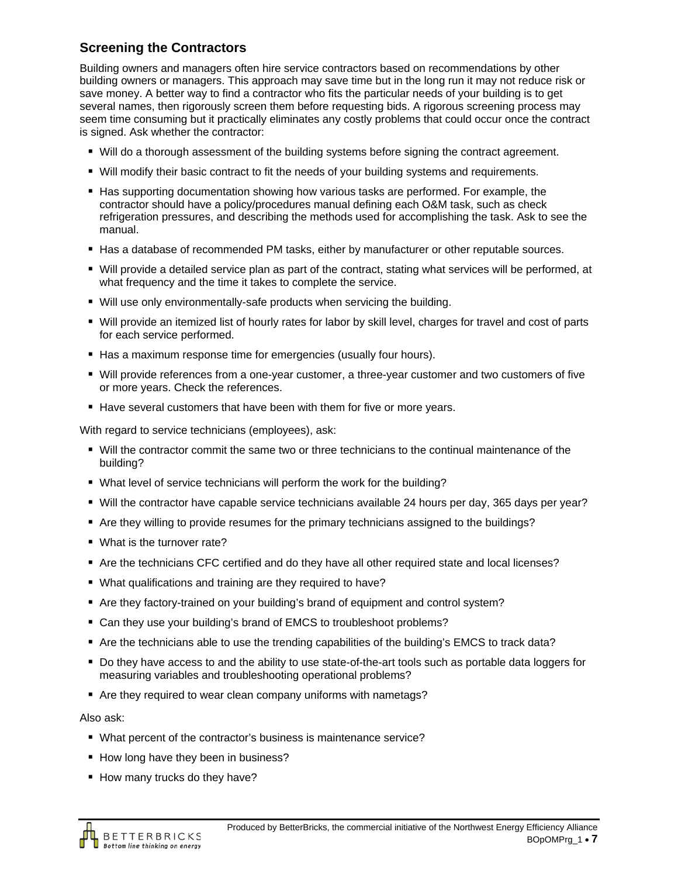## **Screening the Contractors**

Building owners and managers often hire service contractors based on recommendations by other building owners or managers. This approach may save time but in the long run it may not reduce risk or save money. A better way to find a contractor who fits the particular needs of your building is to get several names, then rigorously screen them before requesting bids. A rigorous screening process may seem time consuming but it practically eliminates any costly problems that could occur once the contract is signed. Ask whether the contractor:

- Will do a thorough assessment of the building systems before signing the contract agreement.
- Will modify their basic contract to fit the needs of your building systems and requirements.
- Has supporting documentation showing how various tasks are performed. For example, the contractor should have a policy/procedures manual defining each O&M task, such as check refrigeration pressures, and describing the methods used for accomplishing the task. Ask to see the manual.
- Has a database of recommended PM tasks, either by manufacturer or other reputable sources.
- Will provide a detailed service plan as part of the contract, stating what services will be performed, at what frequency and the time it takes to complete the service.
- Will use only environmentally-safe products when servicing the building.
- Will provide an itemized list of hourly rates for labor by skill level, charges for travel and cost of parts for each service performed.
- Has a maximum response time for emergencies (usually four hours).
- Will provide references from a one-year customer, a three-year customer and two customers of five or more years. Check the references.
- Have several customers that have been with them for five or more years.

With regard to service technicians (employees), ask:

- Will the contractor commit the same two or three technicians to the continual maintenance of the building?
- What level of service technicians will perform the work for the building?
- Will the contractor have capable service technicians available 24 hours per day, 365 days per year?
- Are they willing to provide resumes for the primary technicians assigned to the buildings?
- What is the turnover rate?
- Are the technicians CFC certified and do they have all other required state and local licenses?
- What qualifications and training are they required to have?
- Are they factory-trained on your building's brand of equipment and control system?
- Can they use your building's brand of EMCS to troubleshoot problems?
- Are the technicians able to use the trending capabilities of the building's EMCS to track data?
- Do they have access to and the ability to use state-of-the-art tools such as portable data loggers for measuring variables and troubleshooting operational problems?
- Are they required to wear clean company uniforms with nametags?

Also ask:

- What percent of the contractor's business is maintenance service?
- How long have they been in business?
- How many trucks do they have?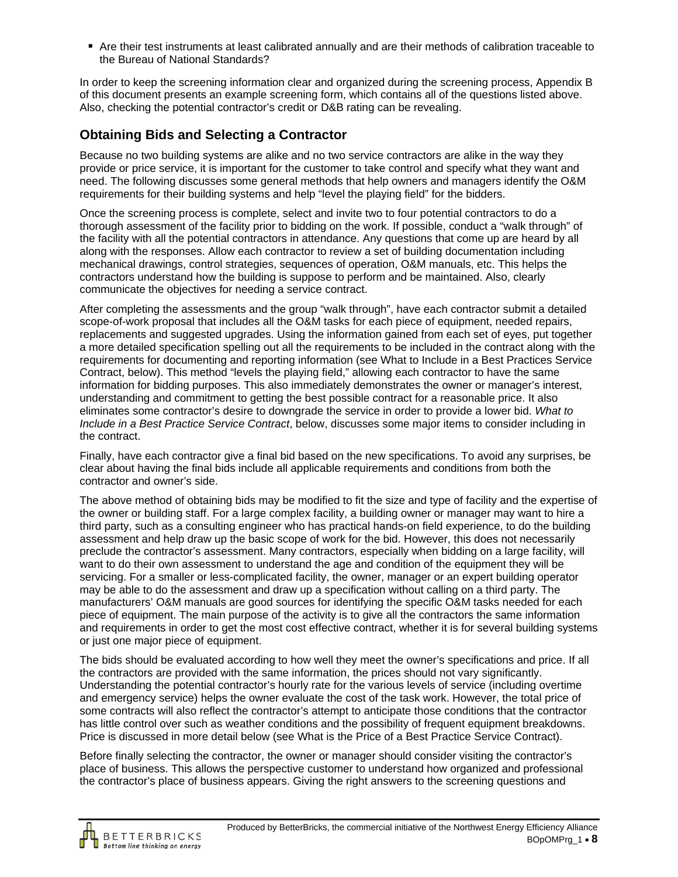Are their test instruments at least calibrated annually and are their methods of calibration traceable to the Bureau of National Standards?

In order to keep the screening information clear and organized during the screening process, Appendix B of this document presents an example screening form, which contains all of the questions listed above. Also, checking the potential contractor's credit or D&B rating can be revealing.

## **Obtaining Bids and Selecting a Contractor**

Because no two building systems are alike and no two service contractors are alike in the way they provide or price service, it is important for the customer to take control and specify what they want and need. The following discusses some general methods that help owners and managers identify the O&M requirements for their building systems and help "level the playing field" for the bidders.

Once the screening process is complete, select and invite two to four potential contractors to do a thorough assessment of the facility prior to bidding on the work. If possible, conduct a "walk through" of the facility with all the potential contractors in attendance. Any questions that come up are heard by all along with the responses. Allow each contractor to review a set of building documentation including mechanical drawings, control strategies, sequences of operation, O&M manuals, etc. This helps the contractors understand how the building is suppose to perform and be maintained. Also, clearly communicate the objectives for needing a service contract.

After completing the assessments and the group "walk through", have each contractor submit a detailed scope-of-work proposal that includes all the O&M tasks for each piece of equipment, needed repairs, replacements and suggested upgrades. Using the information gained from each set of eyes, put together a more detailed specification spelling out all the requirements to be included in the contract along with the requirements for documenting and reporting information (see What to Include in a Best Practices Service Contract, below). This method "levels the playing field," allowing each contractor to have the same information for bidding purposes. This also immediately demonstrates the owner or manager's interest, understanding and commitment to getting the best possible contract for a reasonable price. It also eliminates some contractor's desire to downgrade the service in order to provide a lower bid. *What to Include in a Best Practice Service Contract*, below, discusses some major items to consider including in the contract.

Finally, have each contractor give a final bid based on the new specifications. To avoid any surprises, be clear about having the final bids include all applicable requirements and conditions from both the contractor and owner's side.

The above method of obtaining bids may be modified to fit the size and type of facility and the expertise of the owner or building staff. For a large complex facility, a building owner or manager may want to hire a third party, such as a consulting engineer who has practical hands-on field experience, to do the building assessment and help draw up the basic scope of work for the bid. However, this does not necessarily preclude the contractor's assessment. Many contractors, especially when bidding on a large facility, will want to do their own assessment to understand the age and condition of the equipment they will be servicing. For a smaller or less-complicated facility, the owner, manager or an expert building operator may be able to do the assessment and draw up a specification without calling on a third party. The manufacturers' O&M manuals are good sources for identifying the specific O&M tasks needed for each piece of equipment. The main purpose of the activity is to give all the contractors the same information and requirements in order to get the most cost effective contract, whether it is for several building systems or just one major piece of equipment.

The bids should be evaluated according to how well they meet the owner's specifications and price. If all the contractors are provided with the same information, the prices should not vary significantly. Understanding the potential contractor's hourly rate for the various levels of service (including overtime and emergency service) helps the owner evaluate the cost of the task work. However, the total price of some contracts will also reflect the contractor's attempt to anticipate those conditions that the contractor has little control over such as weather conditions and the possibility of frequent equipment breakdowns. Price is discussed in more detail below (see What is the Price of a Best Practice Service Contract).

Before finally selecting the contractor, the owner or manager should consider visiting the contractor's place of business. This allows the perspective customer to understand how organized and professional the contractor's place of business appears. Giving the right answers to the screening questions and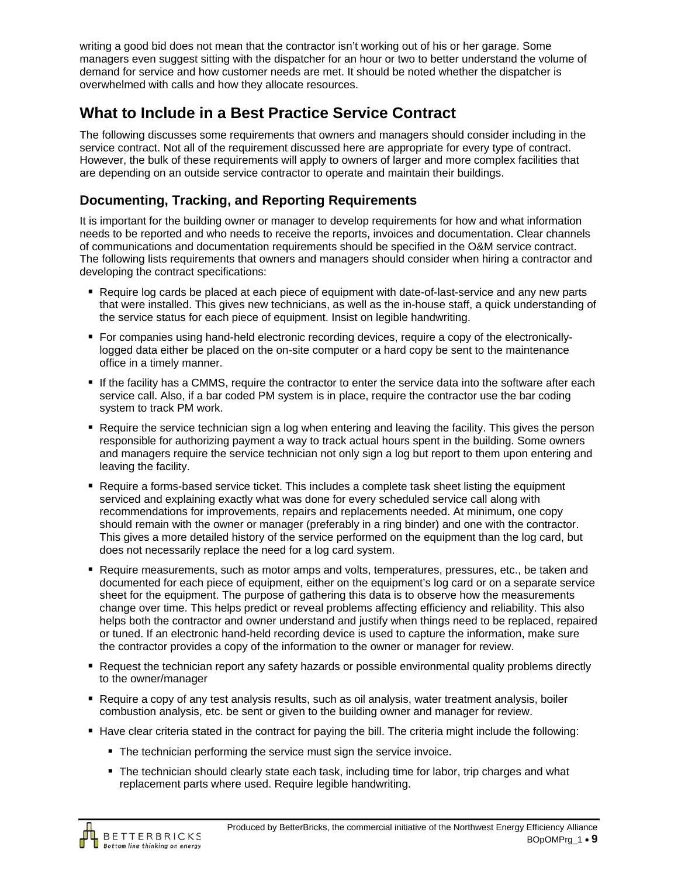writing a good bid does not mean that the contractor isn't working out of his or her garage. Some managers even suggest sitting with the dispatcher for an hour or two to better understand the volume of demand for service and how customer needs are met. It should be noted whether the dispatcher is overwhelmed with calls and how they allocate resources.

# **What to Include in a Best Practice Service Contract**

The following discusses some requirements that owners and managers should consider including in the service contract. Not all of the requirement discussed here are appropriate for every type of contract. However, the bulk of these requirements will apply to owners of larger and more complex facilities that are depending on an outside service contractor to operate and maintain their buildings.

## **Documenting, Tracking, and Reporting Requirements**

It is important for the building owner or manager to develop requirements for how and what information needs to be reported and who needs to receive the reports, invoices and documentation. Clear channels of communications and documentation requirements should be specified in the O&M service contract. The following lists requirements that owners and managers should consider when hiring a contractor and developing the contract specifications:

- Require log cards be placed at each piece of equipment with date-of-last-service and any new parts that were installed. This gives new technicians, as well as the in-house staff, a quick understanding of the service status for each piece of equipment. Insist on legible handwriting.
- For companies using hand-held electronic recording devices, require a copy of the electronicallylogged data either be placed on the on-site computer or a hard copy be sent to the maintenance office in a timely manner.
- If the facility has a CMMS, require the contractor to enter the service data into the software after each service call. Also, if a bar coded PM system is in place, require the contractor use the bar coding system to track PM work.
- Require the service technician sign a log when entering and leaving the facility. This gives the person responsible for authorizing payment a way to track actual hours spent in the building. Some owners and managers require the service technician not only sign a log but report to them upon entering and leaving the facility.
- Require a forms-based service ticket. This includes a complete task sheet listing the equipment serviced and explaining exactly what was done for every scheduled service call along with recommendations for improvements, repairs and replacements needed. At minimum, one copy should remain with the owner or manager (preferably in a ring binder) and one with the contractor. This gives a more detailed history of the service performed on the equipment than the log card, but does not necessarily replace the need for a log card system.
- Require measurements, such as motor amps and volts, temperatures, pressures, etc., be taken and documented for each piece of equipment, either on the equipment's log card or on a separate service sheet for the equipment. The purpose of gathering this data is to observe how the measurements change over time. This helps predict or reveal problems affecting efficiency and reliability. This also helps both the contractor and owner understand and justify when things need to be replaced, repaired or tuned. If an electronic hand-held recording device is used to capture the information, make sure the contractor provides a copy of the information to the owner or manager for review.
- Request the technician report any safety hazards or possible environmental quality problems directly to the owner/manager
- Require a copy of any test analysis results, such as oil analysis, water treatment analysis, boiler combustion analysis, etc. be sent or given to the building owner and manager for review.
- Have clear criteria stated in the contract for paying the bill. The criteria might include the following:
	- The technician performing the service must sign the service invoice.
	- The technician should clearly state each task, including time for labor, trip charges and what replacement parts where used. Require legible handwriting.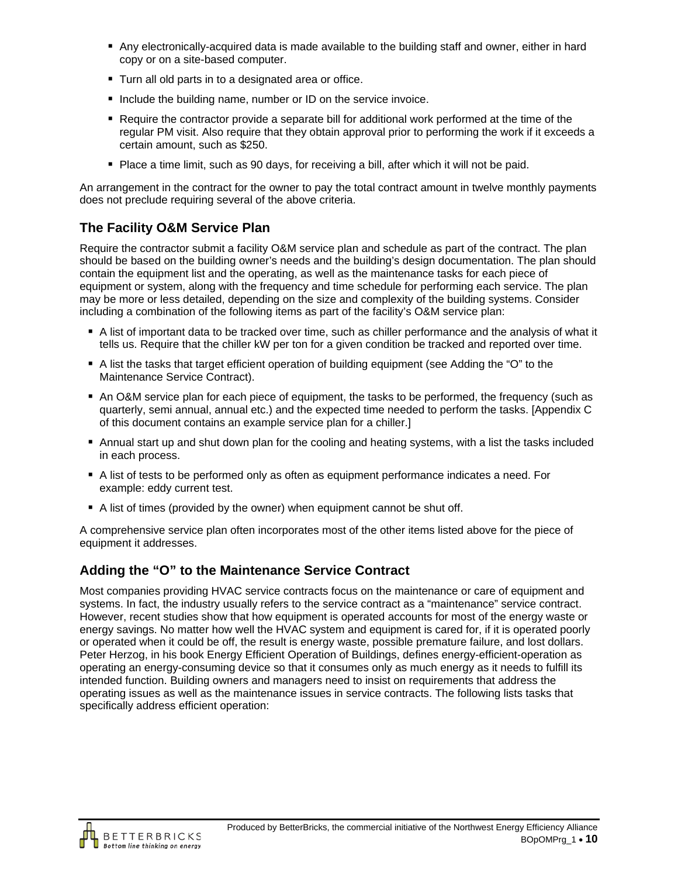- Any electronically-acquired data is made available to the building staff and owner, either in hard copy or on a site-based computer.
- **Turn all old parts in to a designated area or office.**
- **Include the building name, number or ID on the service invoice.**
- Require the contractor provide a separate bill for additional work performed at the time of the regular PM visit. Also require that they obtain approval prior to performing the work if it exceeds a certain amount, such as \$250.
- Place a time limit, such as 90 days, for receiving a bill, after which it will not be paid.

An arrangement in the contract for the owner to pay the total contract amount in twelve monthly payments does not preclude requiring several of the above criteria.

## **The Facility O&M Service Plan**

Require the contractor submit a facility O&M service plan and schedule as part of the contract. The plan should be based on the building owner's needs and the building's design documentation. The plan should contain the equipment list and the operating, as well as the maintenance tasks for each piece of equipment or system, along with the frequency and time schedule for performing each service. The plan may be more or less detailed, depending on the size and complexity of the building systems. Consider including a combination of the following items as part of the facility's O&M service plan:

- A list of important data to be tracked over time, such as chiller performance and the analysis of what it tells us. Require that the chiller kW per ton for a given condition be tracked and reported over time.
- A list the tasks that target efficient operation of building equipment (see Adding the "O" to the Maintenance Service Contract).
- An O&M service plan for each piece of equipment, the tasks to be performed, the frequency (such as quarterly, semi annual, annual etc.) and the expected time needed to perform the tasks. [Appendix C of this document contains an example service plan for a chiller.]
- Annual start up and shut down plan for the cooling and heating systems, with a list the tasks included in each process.
- A list of tests to be performed only as often as equipment performance indicates a need. For example: eddy current test.
- A list of times (provided by the owner) when equipment cannot be shut off.

A comprehensive service plan often incorporates most of the other items listed above for the piece of equipment it addresses.

## **Adding the "O" to the Maintenance Service Contract**

Most companies providing HVAC service contracts focus on the maintenance or care of equipment and systems. In fact, the industry usually refers to the service contract as a "maintenance" service contract. However, recent studies show that how equipment is operated accounts for most of the energy waste or energy savings. No matter how well the HVAC system and equipment is cared for, if it is operated poorly or operated when it could be off, the result is energy waste, possible premature failure, and lost dollars. Peter Herzog, in his book Energy Efficient Operation of Buildings, defines energy-efficient-operation as operating an energy-consuming device so that it consumes only as much energy as it needs to fulfill its intended function. Building owners and managers need to insist on requirements that address the operating issues as well as the maintenance issues in service contracts. The following lists tasks that specifically address efficient operation:

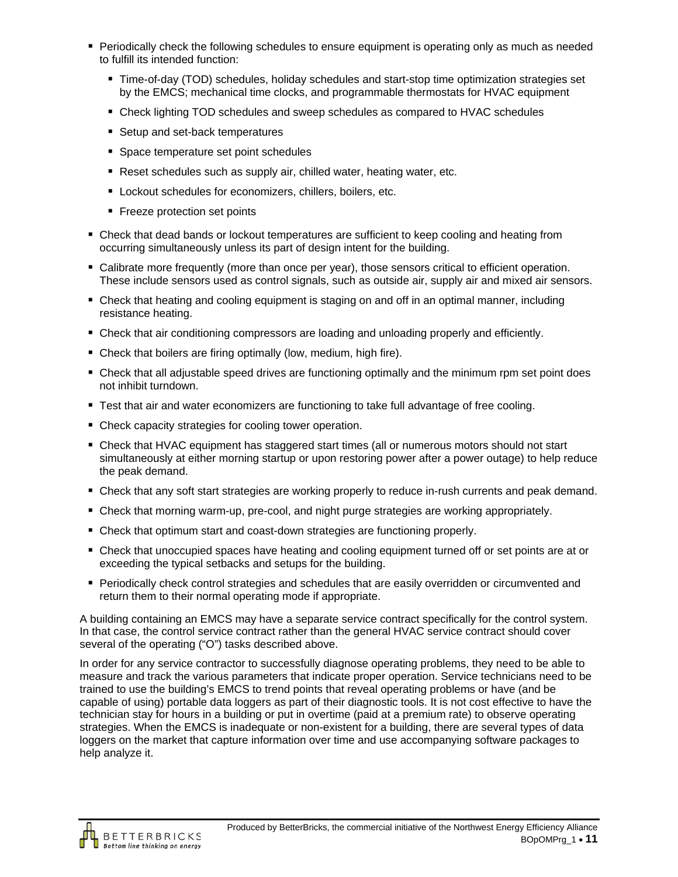- **Periodically check the following schedules to ensure equipment is operating only as much as needed** to fulfill its intended function:
	- Time-of-day (TOD) schedules, holiday schedules and start-stop time optimization strategies set by the EMCS; mechanical time clocks, and programmable thermostats for HVAC equipment
	- Check lighting TOD schedules and sweep schedules as compared to HVAC schedules
	- Setup and set-back temperatures
	- Space temperature set point schedules
	- Reset schedules such as supply air, chilled water, heating water, etc.
	- **Lockout schedules for economizers, chillers, boilers, etc.**
	- **Freeze protection set points**
- Check that dead bands or lockout temperatures are sufficient to keep cooling and heating from occurring simultaneously unless its part of design intent for the building.
- Calibrate more frequently (more than once per year), those sensors critical to efficient operation. These include sensors used as control signals, such as outside air, supply air and mixed air sensors.
- Check that heating and cooling equipment is staging on and off in an optimal manner, including resistance heating.
- Check that air conditioning compressors are loading and unloading properly and efficiently.
- Check that boilers are firing optimally (low, medium, high fire).
- Check that all adjustable speed drives are functioning optimally and the minimum rpm set point does not inhibit turndown.
- Test that air and water economizers are functioning to take full advantage of free cooling.
- Check capacity strategies for cooling tower operation.
- Check that HVAC equipment has staggered start times (all or numerous motors should not start simultaneously at either morning startup or upon restoring power after a power outage) to help reduce the peak demand.
- Check that any soft start strategies are working properly to reduce in-rush currents and peak demand.
- Check that morning warm-up, pre-cool, and night purge strategies are working appropriately.
- Check that optimum start and coast-down strategies are functioning properly.
- Check that unoccupied spaces have heating and cooling equipment turned off or set points are at or exceeding the typical setbacks and setups for the building.
- Periodically check control strategies and schedules that are easily overridden or circumvented and return them to their normal operating mode if appropriate.

A building containing an EMCS may have a separate service contract specifically for the control system. In that case, the control service contract rather than the general HVAC service contract should cover several of the operating ("O") tasks described above.

In order for any service contractor to successfully diagnose operating problems, they need to be able to measure and track the various parameters that indicate proper operation. Service technicians need to be trained to use the building's EMCS to trend points that reveal operating problems or have (and be capable of using) portable data loggers as part of their diagnostic tools. It is not cost effective to have the technician stay for hours in a building or put in overtime (paid at a premium rate) to observe operating strategies. When the EMCS is inadequate or non-existent for a building, there are several types of data loggers on the market that capture information over time and use accompanying software packages to help analyze it.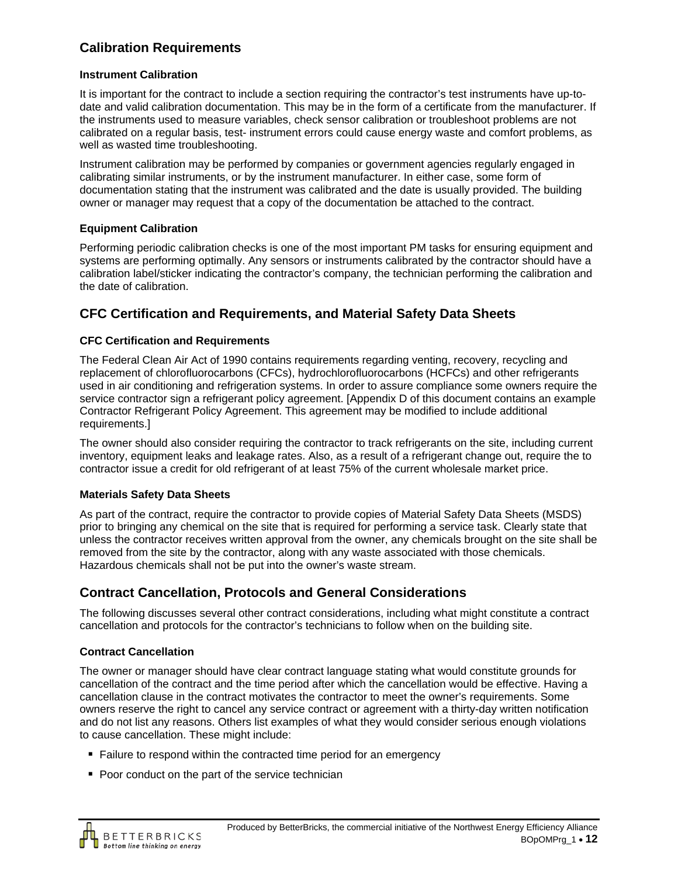## **Calibration Requirements**

#### **Instrument Calibration**

It is important for the contract to include a section requiring the contractor's test instruments have up-todate and valid calibration documentation. This may be in the form of a certificate from the manufacturer. If the instruments used to measure variables, check sensor calibration or troubleshoot problems are not calibrated on a regular basis, test- instrument errors could cause energy waste and comfort problems, as well as wasted time troubleshooting.

Instrument calibration may be performed by companies or government agencies regularly engaged in calibrating similar instruments, or by the instrument manufacturer. In either case, some form of documentation stating that the instrument was calibrated and the date is usually provided. The building owner or manager may request that a copy of the documentation be attached to the contract.

#### **Equipment Calibration**

Performing periodic calibration checks is one of the most important PM tasks for ensuring equipment and systems are performing optimally. Any sensors or instruments calibrated by the contractor should have a calibration label/sticker indicating the contractor's company, the technician performing the calibration and the date of calibration.

## **CFC Certification and Requirements, and Material Safety Data Sheets**

#### **CFC Certification and Requirements**

The Federal Clean Air Act of 1990 contains requirements regarding venting, recovery, recycling and replacement of chlorofluorocarbons (CFCs), hydrochlorofluorocarbons (HCFCs) and other refrigerants used in air conditioning and refrigeration systems. In order to assure compliance some owners require the service contractor sign a refrigerant policy agreement. [Appendix D of this document contains an example Contractor Refrigerant Policy Agreement. This agreement may be modified to include additional requirements.]

The owner should also consider requiring the contractor to track refrigerants on the site, including current inventory, equipment leaks and leakage rates. Also, as a result of a refrigerant change out, require the to contractor issue a credit for old refrigerant of at least 75% of the current wholesale market price.

#### **Materials Safety Data Sheets**

As part of the contract, require the contractor to provide copies of Material Safety Data Sheets (MSDS) prior to bringing any chemical on the site that is required for performing a service task. Clearly state that unless the contractor receives written approval from the owner, any chemicals brought on the site shall be removed from the site by the contractor, along with any waste associated with those chemicals. Hazardous chemicals shall not be put into the owner's waste stream.

### **Contract Cancellation, Protocols and General Considerations**

The following discusses several other contract considerations, including what might constitute a contract cancellation and protocols for the contractor's technicians to follow when on the building site.

#### **Contract Cancellation**

The owner or manager should have clear contract language stating what would constitute grounds for cancellation of the contract and the time period after which the cancellation would be effective. Having a cancellation clause in the contract motivates the contractor to meet the owner's requirements. Some owners reserve the right to cancel any service contract or agreement with a thirty-day written notification and do not list any reasons. Others list examples of what they would consider serious enough violations to cause cancellation. These might include:

- Failure to respond within the contracted time period for an emergency
- Poor conduct on the part of the service technician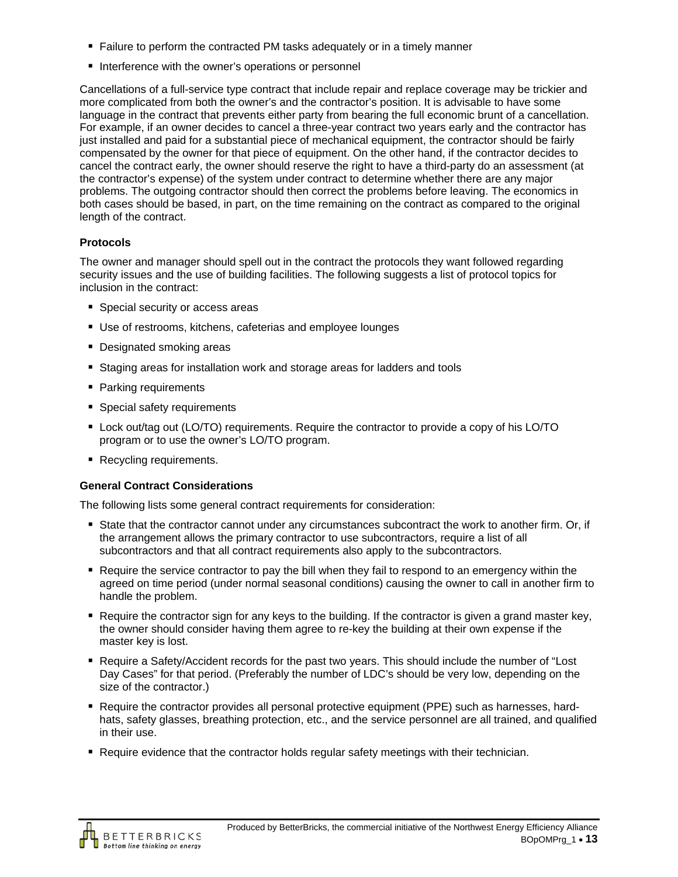- Failure to perform the contracted PM tasks adequately or in a timely manner
- **Interference with the owner's operations or personnel**

Cancellations of a full-service type contract that include repair and replace coverage may be trickier and more complicated from both the owner's and the contractor's position. It is advisable to have some language in the contract that prevents either party from bearing the full economic brunt of a cancellation. For example, if an owner decides to cancel a three-year contract two years early and the contractor has just installed and paid for a substantial piece of mechanical equipment, the contractor should be fairly compensated by the owner for that piece of equipment. On the other hand, if the contractor decides to cancel the contract early, the owner should reserve the right to have a third-party do an assessment (at the contractor's expense) of the system under contract to determine whether there are any major problems. The outgoing contractor should then correct the problems before leaving. The economics in both cases should be based, in part, on the time remaining on the contract as compared to the original length of the contract.

#### **Protocols**

The owner and manager should spell out in the contract the protocols they want followed regarding security issues and the use of building facilities. The following suggests a list of protocol topics for inclusion in the contract:

- **Special security or access areas**
- Use of restrooms, kitchens, cafeterias and employee lounges
- Designated smoking areas
- Staging areas for installation work and storage areas for ladders and tools
- Parking requirements
- Special safety requirements
- Lock out/tag out (LO/TO) requirements. Require the contractor to provide a copy of his LO/TO program or to use the owner's LO/TO program.
- Recycling requirements.

#### **General Contract Considerations**

The following lists some general contract requirements for consideration:

- State that the contractor cannot under any circumstances subcontract the work to another firm. Or, if the arrangement allows the primary contractor to use subcontractors, require a list of all subcontractors and that all contract requirements also apply to the subcontractors.
- Require the service contractor to pay the bill when they fail to respond to an emergency within the agreed on time period (under normal seasonal conditions) causing the owner to call in another firm to handle the problem.
- Require the contractor sign for any keys to the building. If the contractor is given a grand master key, the owner should consider having them agree to re-key the building at their own expense if the master key is lost.
- Require a Safety/Accident records for the past two years. This should include the number of "Lost Day Cases" for that period. (Preferably the number of LDC's should be very low, depending on the size of the contractor.)
- Require the contractor provides all personal protective equipment (PPE) such as harnesses, hardhats, safety glasses, breathing protection, etc., and the service personnel are all trained, and qualified in their use.
- Require evidence that the contractor holds regular safety meetings with their technician.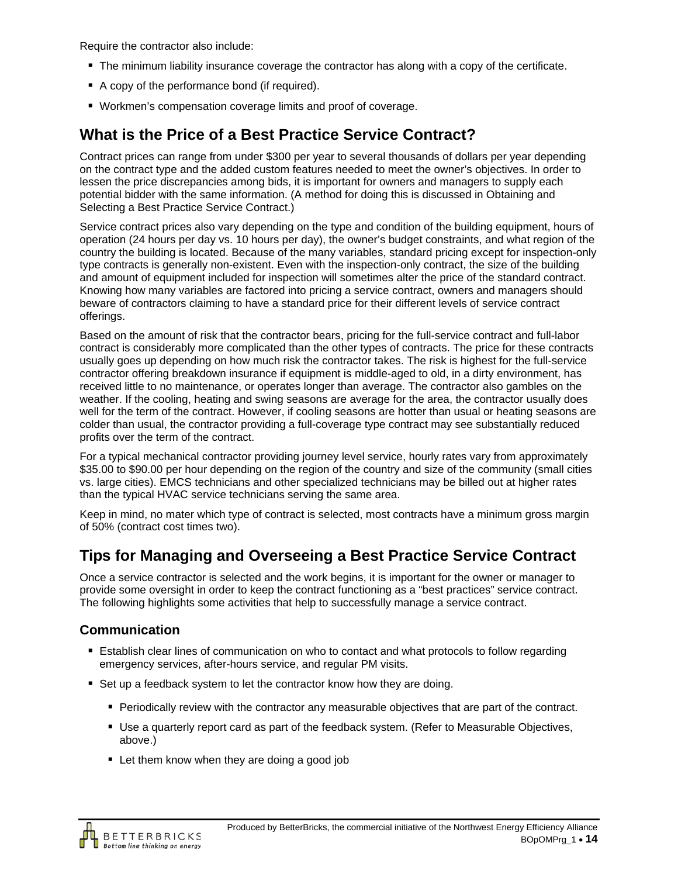Require the contractor also include:

- The minimum liability insurance coverage the contractor has along with a copy of the certificate.
- A copy of the performance bond (if required).
- Workmen's compensation coverage limits and proof of coverage.

## **What is the Price of a Best Practice Service Contract?**

Contract prices can range from under \$300 per year to several thousands of dollars per year depending on the contract type and the added custom features needed to meet the owner's objectives. In order to lessen the price discrepancies among bids, it is important for owners and managers to supply each potential bidder with the same information. (A method for doing this is discussed in Obtaining and Selecting a Best Practice Service Contract.)

Service contract prices also vary depending on the type and condition of the building equipment, hours of operation (24 hours per day vs. 10 hours per day), the owner's budget constraints, and what region of the country the building is located. Because of the many variables, standard pricing except for inspection-only type contracts is generally non-existent. Even with the inspection-only contract, the size of the building and amount of equipment included for inspection will sometimes alter the price of the standard contract. Knowing how many variables are factored into pricing a service contract, owners and managers should beware of contractors claiming to have a standard price for their different levels of service contract offerings.

Based on the amount of risk that the contractor bears, pricing for the full-service contract and full-labor contract is considerably more complicated than the other types of contracts. The price for these contracts usually goes up depending on how much risk the contractor takes. The risk is highest for the full-service contractor offering breakdown insurance if equipment is middle-aged to old, in a dirty environment, has received little to no maintenance, or operates longer than average. The contractor also gambles on the weather. If the cooling, heating and swing seasons are average for the area, the contractor usually does well for the term of the contract. However, if cooling seasons are hotter than usual or heating seasons are colder than usual, the contractor providing a full-coverage type contract may see substantially reduced profits over the term of the contract.

For a typical mechanical contractor providing journey level service, hourly rates vary from approximately \$35.00 to \$90.00 per hour depending on the region of the country and size of the community (small cities vs. large cities). EMCS technicians and other specialized technicians may be billed out at higher rates than the typical HVAC service technicians serving the same area.

Keep in mind, no mater which type of contract is selected, most contracts have a minimum gross margin of 50% (contract cost times two).

# **Tips for Managing and Overseeing a Best Practice Service Contract**

Once a service contractor is selected and the work begins, it is important for the owner or manager to provide some oversight in order to keep the contract functioning as a "best practices" service contract. The following highlights some activities that help to successfully manage a service contract.

## **Communication**

- **Establish clear lines of communication on who to contact and what protocols to follow regarding** emergency services, after-hours service, and regular PM visits.
- Set up a feedback system to let the contractor know how they are doing.
	- Periodically review with the contractor any measurable objectives that are part of the contract.
	- Use a quarterly report card as part of the feedback system. (Refer to Measurable Objectives, above.)
	- **Example 1** Let them know when they are doing a good job

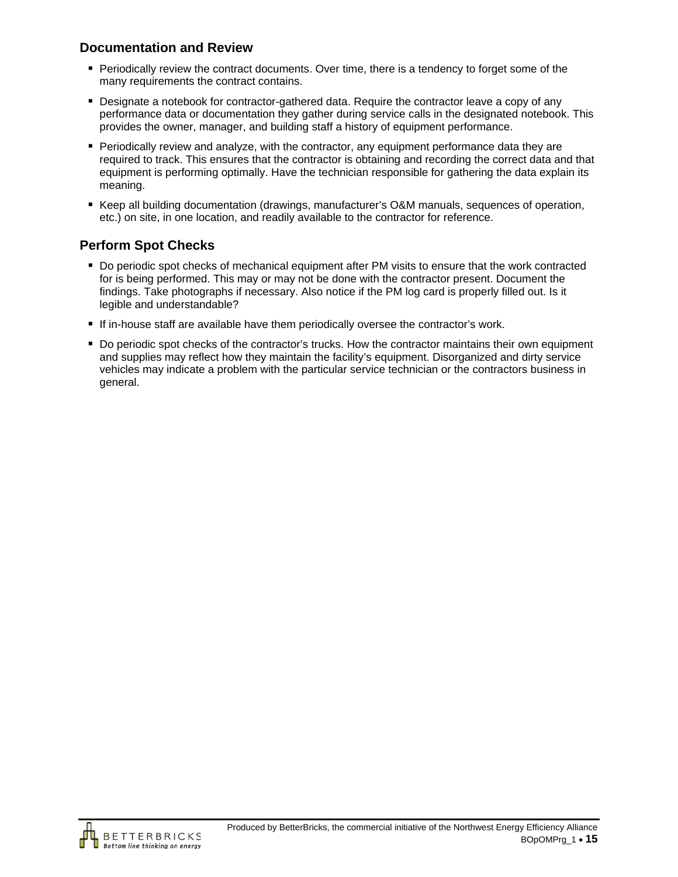### **Documentation and Review**

- **Periodically review the contract documents. Over time, there is a tendency to forget some of the** many requirements the contract contains.
- **Designate a notebook for contractor-gathered data. Require the contractor leave a copy of any** performance data or documentation they gather during service calls in the designated notebook. This provides the owner, manager, and building staff a history of equipment performance.
- **Periodically review and analyze, with the contractor, any equipment performance data they are** required to track. This ensures that the contractor is obtaining and recording the correct data and that equipment is performing optimally. Have the technician responsible for gathering the data explain its meaning.
- Keep all building documentation (drawings, manufacturer's O&M manuals, sequences of operation, etc.) on site, in one location, and readily available to the contractor for reference.

## **Perform Spot Checks**

- Do periodic spot checks of mechanical equipment after PM visits to ensure that the work contracted for is being performed. This may or may not be done with the contractor present. Document the findings. Take photographs if necessary. Also notice if the PM log card is properly filled out. Is it legible and understandable?
- If in-house staff are available have them periodically oversee the contractor's work.
- Do periodic spot checks of the contractor's trucks. How the contractor maintains their own equipment and supplies may reflect how they maintain the facility's equipment. Disorganized and dirty service vehicles may indicate a problem with the particular service technician or the contractors business in general.

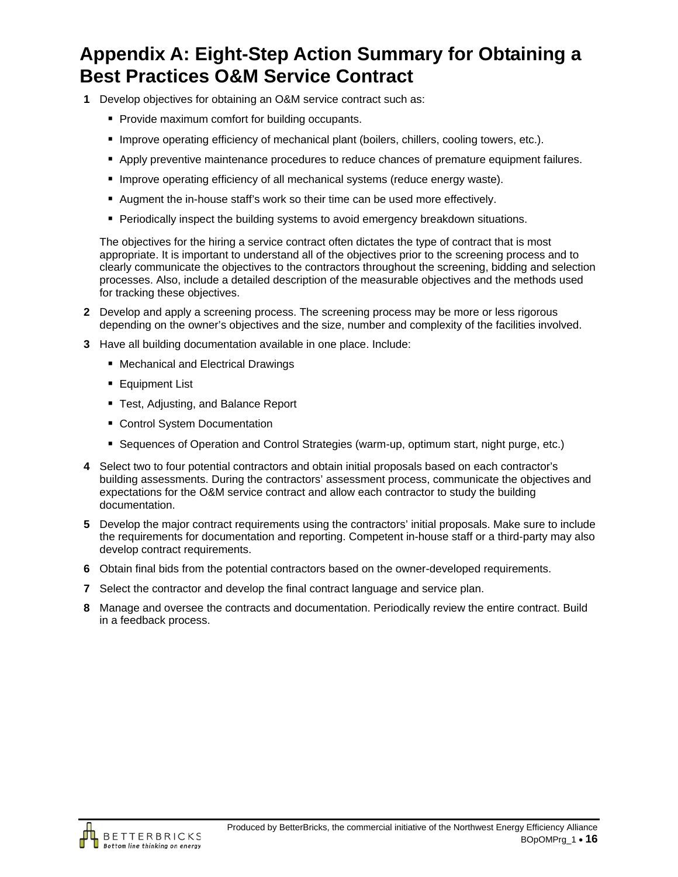# **Appendix A: Eight-Step Action Summary for Obtaining a Best Practices O&M Service Contract**

- **1** Develop objectives for obtaining an O&M service contract such as:
	- **Provide maximum comfort for building occupants.**
	- **Improve operating efficiency of mechanical plant (boilers, chillers, cooling towers, etc.).**
	- Apply preventive maintenance procedures to reduce chances of premature equipment failures.
	- **Improve operating efficiency of all mechanical systems (reduce energy waste).**
	- Augment the in-house staff's work so their time can be used more effectively.
	- **Periodically inspect the building systems to avoid emergency breakdown situations.**

The objectives for the hiring a service contract often dictates the type of contract that is most appropriate. It is important to understand all of the objectives prior to the screening process and to clearly communicate the objectives to the contractors throughout the screening, bidding and selection processes. Also, include a detailed description of the measurable objectives and the methods used for tracking these objectives.

- **2** Develop and apply a screening process. The screening process may be more or less rigorous depending on the owner's objectives and the size, number and complexity of the facilities involved.
- **3** Have all building documentation available in one place. Include:
	- Mechanical and Electrical Drawings
	- **Equipment List**
	- Test, Adjusting, and Balance Report
	- Control System Documentation
	- Sequences of Operation and Control Strategies (warm-up, optimum start, night purge, etc.)
- **4** Select two to four potential contractors and obtain initial proposals based on each contractor's building assessments. During the contractors' assessment process, communicate the objectives and expectations for the O&M service contract and allow each contractor to study the building documentation.
- **5** Develop the major contract requirements using the contractors' initial proposals. Make sure to include the requirements for documentation and reporting. Competent in-house staff or a third-party may also develop contract requirements.
- **6** Obtain final bids from the potential contractors based on the owner-developed requirements.
- **7** Select the contractor and develop the final contract language and service plan.
- **8** Manage and oversee the contracts and documentation. Periodically review the entire contract. Build in a feedback process.

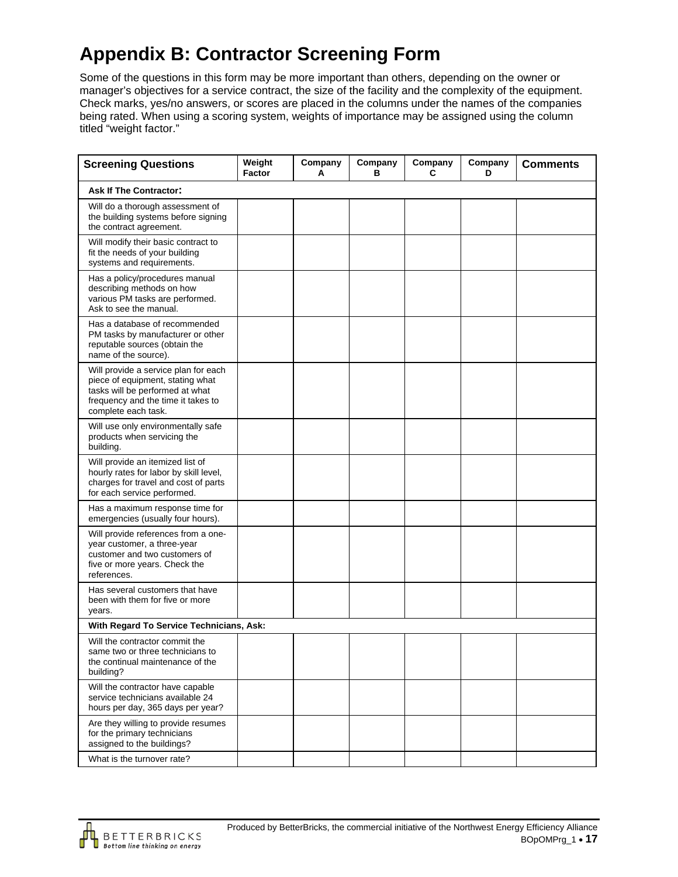# **Appendix B: Contractor Screening Form**

Some of the questions in this form may be more important than others, depending on the owner or manager's objectives for a service contract, the size of the facility and the complexity of the equipment. Check marks, yes/no answers, or scores are placed in the columns under the names of the companies being rated. When using a scoring system, weights of importance may be assigned using the column titled "weight factor."

| <b>Screening Questions</b>                                                                                                                                               | Weight<br><b>Factor</b> | Company<br>A | Company<br>в | Company<br>C | Company<br>D | <b>Comments</b> |
|--------------------------------------------------------------------------------------------------------------------------------------------------------------------------|-------------------------|--------------|--------------|--------------|--------------|-----------------|
| <b>Ask If The Contractor:</b>                                                                                                                                            |                         |              |              |              |              |                 |
| Will do a thorough assessment of<br>the building systems before signing<br>the contract agreement.                                                                       |                         |              |              |              |              |                 |
| Will modify their basic contract to<br>fit the needs of your building<br>systems and requirements.                                                                       |                         |              |              |              |              |                 |
| Has a policy/procedures manual<br>describing methods on how<br>various PM tasks are performed.<br>Ask to see the manual.                                                 |                         |              |              |              |              |                 |
| Has a database of recommended<br>PM tasks by manufacturer or other<br>reputable sources (obtain the<br>name of the source).                                              |                         |              |              |              |              |                 |
| Will provide a service plan for each<br>piece of equipment, stating what<br>tasks will be performed at what<br>frequency and the time it takes to<br>complete each task. |                         |              |              |              |              |                 |
| Will use only environmentally safe<br>products when servicing the<br>building.                                                                                           |                         |              |              |              |              |                 |
| Will provide an itemized list of<br>hourly rates for labor by skill level,<br>charges for travel and cost of parts<br>for each service performed.                        |                         |              |              |              |              |                 |
| Has a maximum response time for<br>emergencies (usually four hours).                                                                                                     |                         |              |              |              |              |                 |
| Will provide references from a one-<br>year customer, a three-year<br>customer and two customers of<br>five or more years. Check the<br>references.                      |                         |              |              |              |              |                 |
| Has several customers that have<br>been with them for five or more<br>years.                                                                                             |                         |              |              |              |              |                 |
| With Regard To Service Technicians, Ask:                                                                                                                                 |                         |              |              |              |              |                 |
| Will the contractor commit the<br>same two or three technicians to<br>the continual maintenance of the<br>building?                                                      |                         |              |              |              |              |                 |
| Will the contractor have capable<br>service technicians available 24<br>hours per day, 365 days per year?                                                                |                         |              |              |              |              |                 |
| Are they willing to provide resumes<br>for the primary technicians<br>assigned to the buildings?                                                                         |                         |              |              |              |              |                 |
| What is the turnover rate?                                                                                                                                               |                         |              |              |              |              |                 |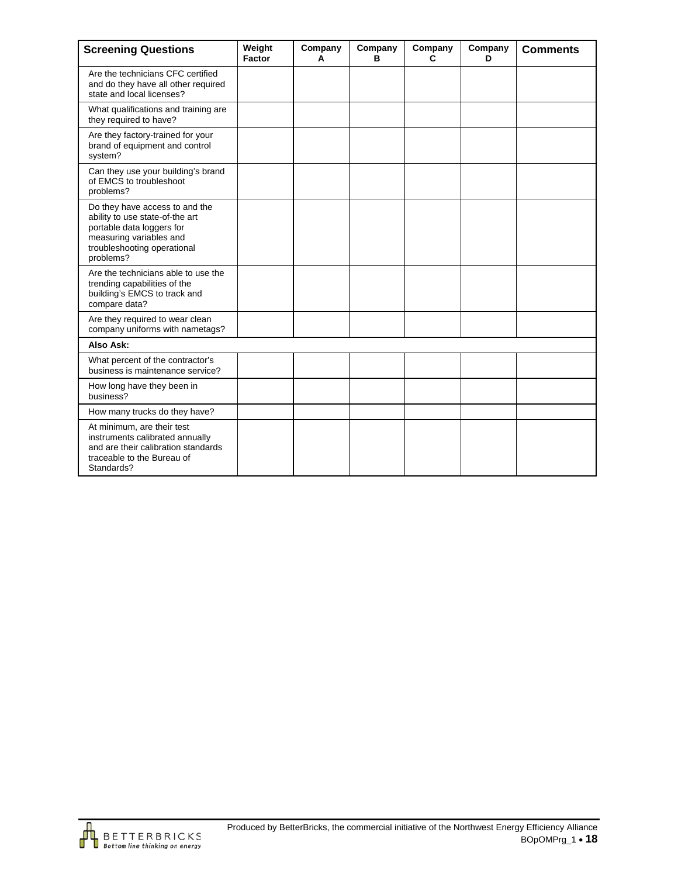| <b>Screening Questions</b>                                                                                                                                            | Weight<br>Factor | Company<br>A | Company<br>в | Company<br>С | Company<br>D | <b>Comments</b> |
|-----------------------------------------------------------------------------------------------------------------------------------------------------------------------|------------------|--------------|--------------|--------------|--------------|-----------------|
| Are the technicians CFC certified<br>and do they have all other required<br>state and local licenses?                                                                 |                  |              |              |              |              |                 |
| What qualifications and training are<br>they required to have?                                                                                                        |                  |              |              |              |              |                 |
| Are they factory-trained for your<br>brand of equipment and control<br>system?                                                                                        |                  |              |              |              |              |                 |
| Can they use your building's brand<br>of EMCS to troubleshoot<br>problems?                                                                                            |                  |              |              |              |              |                 |
| Do they have access to and the<br>ability to use state-of-the art<br>portable data loggers for<br>measuring variables and<br>troubleshooting operational<br>problems? |                  |              |              |              |              |                 |
| Are the technicians able to use the<br>trending capabilities of the<br>building's EMCS to track and<br>compare data?                                                  |                  |              |              |              |              |                 |
| Are they required to wear clean<br>company uniforms with nametags?                                                                                                    |                  |              |              |              |              |                 |
| Also Ask:                                                                                                                                                             |                  |              |              |              |              |                 |
| What percent of the contractor's<br>business is maintenance service?                                                                                                  |                  |              |              |              |              |                 |
| How long have they been in<br>business?                                                                                                                               |                  |              |              |              |              |                 |
| How many trucks do they have?                                                                                                                                         |                  |              |              |              |              |                 |
| At minimum, are their test<br>instruments calibrated annually<br>and are their calibration standards<br>traceable to the Bureau of<br>Standards?                      |                  |              |              |              |              |                 |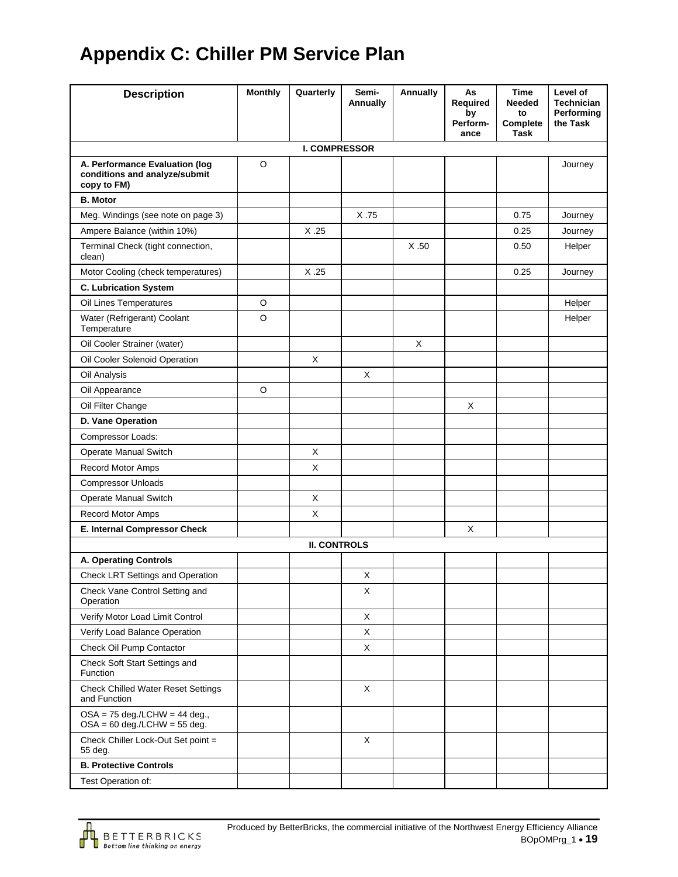# **Appendix C: Chiller PM Service Plan**

| <b>Description</b>                                                             | <b>Monthly</b> | Quarterly            | Semi-<br>Annually | <b>Annually</b> | As<br><b>Required</b><br>by<br>Perform-<br>ance | <b>Time</b><br><b>Needed</b><br>to<br>Complete<br><b>Task</b> | Level of<br>Technician<br>Performing<br>the Task |
|--------------------------------------------------------------------------------|----------------|----------------------|-------------------|-----------------|-------------------------------------------------|---------------------------------------------------------------|--------------------------------------------------|
|                                                                                |                | <b>I. COMPRESSOR</b> |                   |                 |                                                 |                                                               |                                                  |
| A. Performance Evaluation (log<br>conditions and analyze/submit<br>copy to FM) | O              |                      |                   |                 |                                                 |                                                               | Journey                                          |
| <b>B.</b> Motor                                                                |                |                      |                   |                 |                                                 |                                                               |                                                  |
| Meg. Windings (see note on page 3)                                             |                |                      | X.75              |                 |                                                 | 0.75                                                          | Journey                                          |
| Ampere Balance (within 10%)                                                    |                | X.25                 |                   |                 |                                                 | 0.25                                                          | Journey                                          |
| Terminal Check (tight connection,<br>clean)                                    |                |                      |                   | X.50            |                                                 | 0.50                                                          | Helper                                           |
| Motor Cooling (check temperatures)                                             |                | X.25                 |                   |                 |                                                 | 0.25                                                          | Journey                                          |
| <b>C. Lubrication System</b>                                                   |                |                      |                   |                 |                                                 |                                                               |                                                  |
| Oil Lines Temperatures                                                         | $\circ$        |                      |                   |                 |                                                 |                                                               | Helper                                           |
| Water (Refrigerant) Coolant<br>Temperature                                     | O              |                      |                   |                 |                                                 |                                                               | Helper                                           |
| Oil Cooler Strainer (water)                                                    |                |                      |                   | X               |                                                 |                                                               |                                                  |
| Oil Cooler Solenoid Operation                                                  |                | X                    |                   |                 |                                                 |                                                               |                                                  |
| Oil Analysis                                                                   |                |                      | X                 |                 |                                                 |                                                               |                                                  |
| Oil Appearance                                                                 | O              |                      |                   |                 |                                                 |                                                               |                                                  |
| Oil Filter Change                                                              |                |                      |                   |                 | X                                               |                                                               |                                                  |
| D. Vane Operation                                                              |                |                      |                   |                 |                                                 |                                                               |                                                  |
| Compressor Loads:                                                              |                |                      |                   |                 |                                                 |                                                               |                                                  |
| Operate Manual Switch                                                          |                | Χ                    |                   |                 |                                                 |                                                               |                                                  |
| <b>Record Motor Amps</b>                                                       |                | X                    |                   |                 |                                                 |                                                               |                                                  |
| <b>Compressor Unloads</b>                                                      |                |                      |                   |                 |                                                 |                                                               |                                                  |
| Operate Manual Switch                                                          |                | Χ                    |                   |                 |                                                 |                                                               |                                                  |
| Record Motor Amps                                                              |                | X                    |                   |                 |                                                 |                                                               |                                                  |
| E. Internal Compressor Check                                                   |                |                      |                   |                 | X                                               |                                                               |                                                  |
|                                                                                |                | <b>II. CONTROLS</b>  |                   |                 |                                                 |                                                               |                                                  |
| A. Operating Controls                                                          |                |                      |                   |                 |                                                 |                                                               |                                                  |
| <b>Check LRT Settings and Operation</b>                                        |                |                      | Χ                 |                 |                                                 |                                                               |                                                  |
| Check Vane Control Setting and<br>Operation                                    |                |                      | X                 |                 |                                                 |                                                               |                                                  |
| Verify Motor Load Limit Control                                                |                |                      | X                 |                 |                                                 |                                                               |                                                  |
| Verify Load Balance Operation                                                  |                |                      | Χ                 |                 |                                                 |                                                               |                                                  |
| Check Oil Pump Contactor                                                       |                |                      | X                 |                 |                                                 |                                                               |                                                  |
| Check Soft Start Settings and<br>Function                                      |                |                      |                   |                 |                                                 |                                                               |                                                  |
| <b>Check Chilled Water Reset Settings</b><br>and Function                      |                |                      | X                 |                 |                                                 |                                                               |                                                  |
| $OSA = 75$ deg./LCHW = 44 deg.,<br>$OSA = 60$ deg./LCHW = 55 deg.              |                |                      |                   |                 |                                                 |                                                               |                                                  |
| Check Chiller Lock-Out Set point =<br>55 deg.                                  |                |                      | X                 |                 |                                                 |                                                               |                                                  |
| <b>B. Protective Controls</b>                                                  |                |                      |                   |                 |                                                 |                                                               |                                                  |
| Test Operation of:                                                             |                |                      |                   |                 |                                                 |                                                               |                                                  |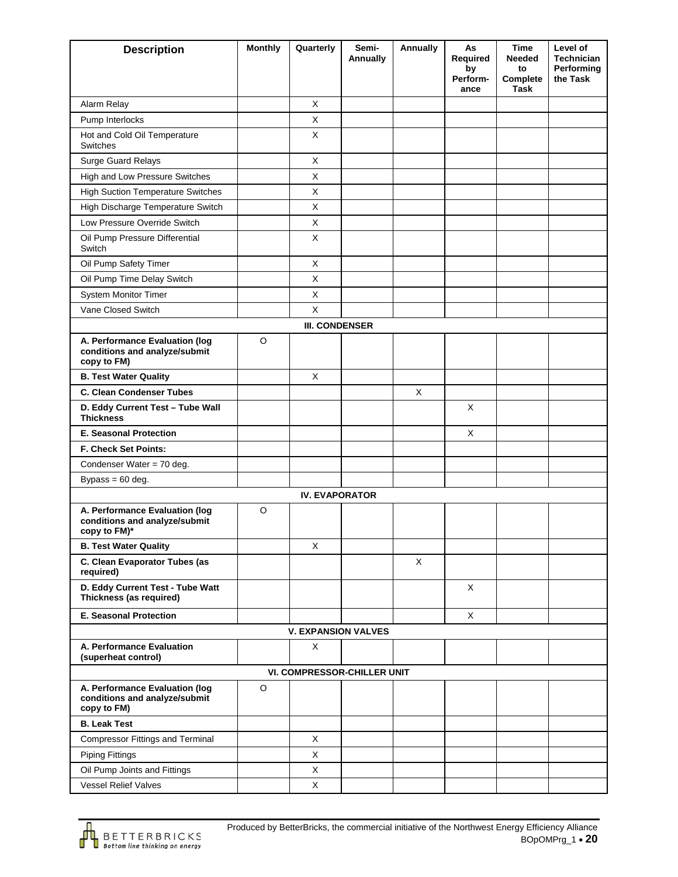| <b>Description</b>                                                              | <b>Monthly</b> | Quarterly                   | Semi-<br>Annually | <b>Annually</b> | As<br>Required<br>by<br>Perform-<br>ance | Time<br><b>Needed</b><br>to<br>Complete<br>Task | Level of<br><b>Technician</b><br>Performing<br>the Task |
|---------------------------------------------------------------------------------|----------------|-----------------------------|-------------------|-----------------|------------------------------------------|-------------------------------------------------|---------------------------------------------------------|
| Alarm Relay                                                                     |                | X                           |                   |                 |                                          |                                                 |                                                         |
| Pump Interlocks                                                                 |                | X                           |                   |                 |                                          |                                                 |                                                         |
| Hot and Cold Oil Temperature<br><b>Switches</b>                                 |                | X                           |                   |                 |                                          |                                                 |                                                         |
| <b>Surge Guard Relays</b>                                                       |                | X                           |                   |                 |                                          |                                                 |                                                         |
| High and Low Pressure Switches                                                  |                | X                           |                   |                 |                                          |                                                 |                                                         |
| <b>High Suction Temperature Switches</b>                                        |                | X                           |                   |                 |                                          |                                                 |                                                         |
| High Discharge Temperature Switch                                               |                | X                           |                   |                 |                                          |                                                 |                                                         |
| Low Pressure Override Switch                                                    |                | X                           |                   |                 |                                          |                                                 |                                                         |
| Oil Pump Pressure Differential<br>Switch                                        |                | X                           |                   |                 |                                          |                                                 |                                                         |
| Oil Pump Safety Timer                                                           |                | X                           |                   |                 |                                          |                                                 |                                                         |
| Oil Pump Time Delay Switch                                                      |                | X                           |                   |                 |                                          |                                                 |                                                         |
| <b>System Monitor Timer</b>                                                     |                | X                           |                   |                 |                                          |                                                 |                                                         |
| Vane Closed Switch                                                              |                | X                           |                   |                 |                                          |                                                 |                                                         |
|                                                                                 |                | <b>III. CONDENSER</b>       |                   |                 |                                          |                                                 |                                                         |
| A. Performance Evaluation (log<br>conditions and analyze/submit<br>copy to FM)  | O              |                             |                   |                 |                                          |                                                 |                                                         |
| <b>B. Test Water Quality</b>                                                    |                | X                           |                   |                 |                                          |                                                 |                                                         |
| <b>C. Clean Condenser Tubes</b>                                                 |                |                             |                   | X               |                                          |                                                 |                                                         |
| D. Eddy Current Test - Tube Wall<br><b>Thickness</b>                            |                |                             |                   |                 | X                                        |                                                 |                                                         |
| <b>E. Seasonal Protection</b>                                                   |                |                             |                   |                 | X                                        |                                                 |                                                         |
| F. Check Set Points:                                                            |                |                             |                   |                 |                                          |                                                 |                                                         |
| Condenser Water = 70 deg.                                                       |                |                             |                   |                 |                                          |                                                 |                                                         |
| Bypass = $60$ deg.                                                              |                |                             |                   |                 |                                          |                                                 |                                                         |
|                                                                                 |                | <b>IV. EVAPORATOR</b>       |                   |                 |                                          |                                                 |                                                         |
| A. Performance Evaluation (log<br>conditions and analyze/submit<br>copy to FM)* | O              |                             |                   |                 |                                          |                                                 |                                                         |
| <b>B. Test Water Quality</b>                                                    |                | X                           |                   |                 |                                          |                                                 |                                                         |
| C. Clean Evaporator Tubes (as<br>required)                                      |                |                             |                   | X               |                                          |                                                 |                                                         |
| D. Eddy Current Test - Tube Watt<br>Thickness (as required)                     |                |                             |                   |                 | X                                        |                                                 |                                                         |
| <b>E. Seasonal Protection</b>                                                   |                |                             |                   |                 | X                                        |                                                 |                                                         |
|                                                                                 |                | <b>V. EXPANSION VALVES</b>  |                   |                 |                                          |                                                 |                                                         |
| A. Performance Evaluation<br>(superheat control)                                |                | X                           |                   |                 |                                          |                                                 |                                                         |
|                                                                                 |                | VI. COMPRESSOR-CHILLER UNIT |                   |                 |                                          |                                                 |                                                         |
| A. Performance Evaluation (log<br>conditions and analyze/submit<br>copy to FM)  | O              |                             |                   |                 |                                          |                                                 |                                                         |
| <b>B. Leak Test</b>                                                             |                |                             |                   |                 |                                          |                                                 |                                                         |
| <b>Compressor Fittings and Terminal</b>                                         |                | X                           |                   |                 |                                          |                                                 |                                                         |
| <b>Piping Fittings</b>                                                          |                | X                           |                   |                 |                                          |                                                 |                                                         |
| Oil Pump Joints and Fittings                                                    |                | X                           |                   |                 |                                          |                                                 |                                                         |
| <b>Vessel Relief Valves</b>                                                     |                | X                           |                   |                 |                                          |                                                 |                                                         |

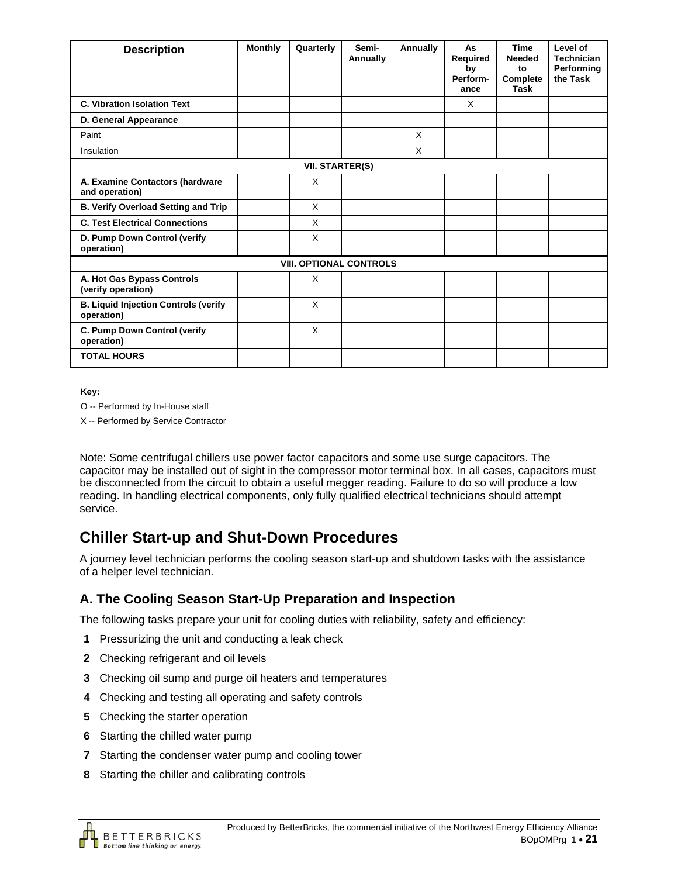| <b>Description</b>                                        | <b>Monthly</b> | Quarterly                      | Semi-<br>Annually | Annually | As<br>Required<br>by<br>Perform-<br>ance | <b>Time</b><br><b>Needed</b><br>to<br>Complete<br><b>Task</b> | Level of<br><b>Technician</b><br>Performing<br>the Task |
|-----------------------------------------------------------|----------------|--------------------------------|-------------------|----------|------------------------------------------|---------------------------------------------------------------|---------------------------------------------------------|
| <b>C. Vibration Isolation Text</b>                        |                |                                |                   |          | X                                        |                                                               |                                                         |
| D. General Appearance                                     |                |                                |                   |          |                                          |                                                               |                                                         |
| Paint                                                     |                |                                |                   | X        |                                          |                                                               |                                                         |
| Insulation                                                |                |                                |                   | X        |                                          |                                                               |                                                         |
|                                                           |                | VII. STARTER(S)                |                   |          |                                          |                                                               |                                                         |
| A. Examine Contactors (hardware<br>and operation)         |                | X                              |                   |          |                                          |                                                               |                                                         |
| <b>B. Verify Overload Setting and Trip</b>                |                | X                              |                   |          |                                          |                                                               |                                                         |
| <b>C. Test Electrical Connections</b>                     |                | X                              |                   |          |                                          |                                                               |                                                         |
| D. Pump Down Control (verify<br>operation)                |                | X                              |                   |          |                                          |                                                               |                                                         |
|                                                           |                | <b>VIII. OPTIONAL CONTROLS</b> |                   |          |                                          |                                                               |                                                         |
| A. Hot Gas Bypass Controls<br>(verify operation)          |                | X                              |                   |          |                                          |                                                               |                                                         |
| <b>B. Liquid Injection Controls (verify</b><br>operation) |                | X                              |                   |          |                                          |                                                               |                                                         |
| C. Pump Down Control (verify<br>operation)                |                | X                              |                   |          |                                          |                                                               |                                                         |
| <b>TOTAL HOURS</b>                                        |                |                                |                   |          |                                          |                                                               |                                                         |

**Key:** 

O -- Performed by In-House staff

X -- Performed by Service Contractor

Note: Some centrifugal chillers use power factor capacitors and some use surge capacitors. The capacitor may be installed out of sight in the compressor motor terminal box. In all cases, capacitors must be disconnected from the circuit to obtain a useful megger reading. Failure to do so will produce a low reading. In handling electrical components, only fully qualified electrical technicians should attempt service.

# **Chiller Start-up and Shut-Down Procedures**

A journey level technician performs the cooling season start-up and shutdown tasks with the assistance of a helper level technician.

### **A. The Cooling Season Start-Up Preparation and Inspection**

The following tasks prepare your unit for cooling duties with reliability, safety and efficiency:

- **1** Pressurizing the unit and conducting a leak check
- **2** Checking refrigerant and oil levels
- **3** Checking oil sump and purge oil heaters and temperatures
- **4** Checking and testing all operating and safety controls
- **5** Checking the starter operation
- **6** Starting the chilled water pump
- **7** Starting the condenser water pump and cooling tower
- **8** Starting the chiller and calibrating controls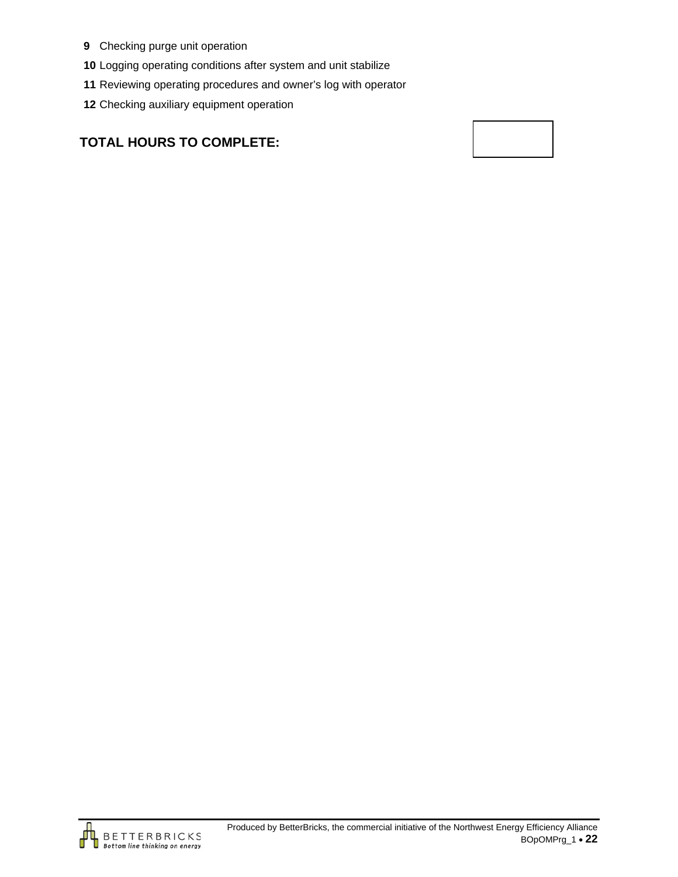- **9** Checking purge unit operation
- **10** Logging operating conditions after system and unit stabilize
- **11** Reviewing operating procedures and owner's log with operator
- **12** Checking auxiliary equipment operation

## **TOTAL HOURS TO COMPLETE:**

| the contract of the contract of the contract of the contract of |  |  |
|-----------------------------------------------------------------|--|--|
|                                                                 |  |  |
|                                                                 |  |  |
|                                                                 |  |  |
|                                                                 |  |  |
|                                                                 |  |  |
|                                                                 |  |  |
|                                                                 |  |  |
|                                                                 |  |  |
|                                                                 |  |  |

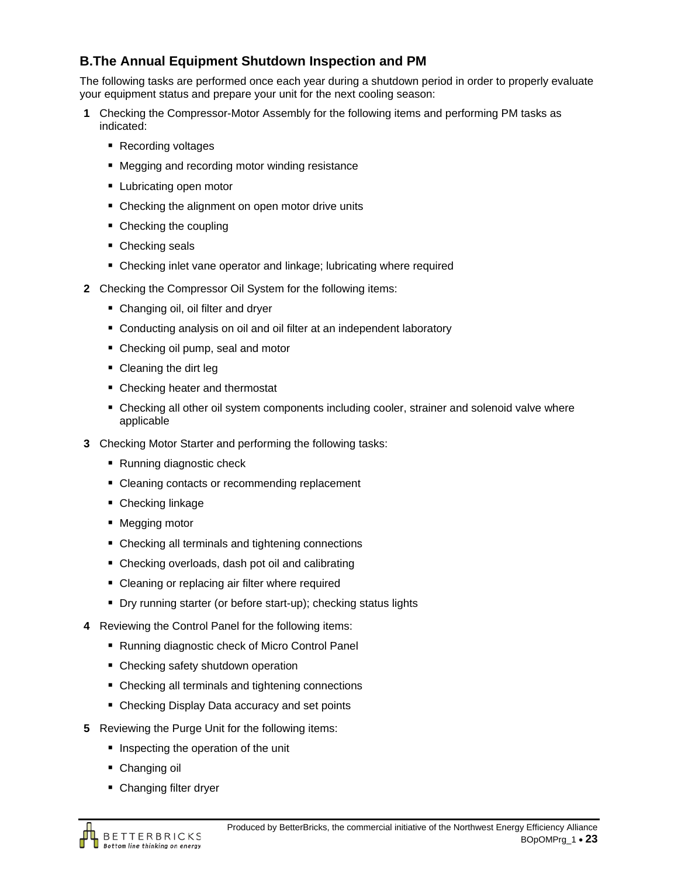## **B.The Annual Equipment Shutdown Inspection and PM**

The following tasks are performed once each year during a shutdown period in order to properly evaluate your equipment status and prepare your unit for the next cooling season:

- **1** Checking the Compressor-Motor Assembly for the following items and performing PM tasks as indicated:
	- Recording voltages
	- Megging and recording motor winding resistance
	- **Lubricating open motor**
	- Checking the alignment on open motor drive units
	- Checking the coupling
	- Checking seals
	- Checking inlet vane operator and linkage; lubricating where required
- **2** Checking the Compressor Oil System for the following items:
	- Changing oil, oil filter and dryer
	- Conducting analysis on oil and oil filter at an independent laboratory
	- Checking oil pump, seal and motor
	- Cleaning the dirt leg
	- Checking heater and thermostat
	- **Checking all other oil system components including cooler, strainer and solenoid valve where** applicable
- **3** Checking Motor Starter and performing the following tasks:
	- Running diagnostic check
	- Cleaning contacts or recommending replacement
	- Checking linkage
	- **Megging motor**
	- Checking all terminals and tightening connections
	- Checking overloads, dash pot oil and calibrating
	- **EXT** Cleaning or replacing air filter where required
	- **Dry running starter (or before start-up); checking status lights**
- **4** Reviewing the Control Panel for the following items:
	- Running diagnostic check of Micro Control Panel
	- Checking safety shutdown operation
	- Checking all terminals and tightening connections
	- Checking Display Data accuracy and set points
- **5** Reviewing the Purge Unit for the following items:
	- **Inspecting the operation of the unit**
	- Changing oil
	- Changing filter dryer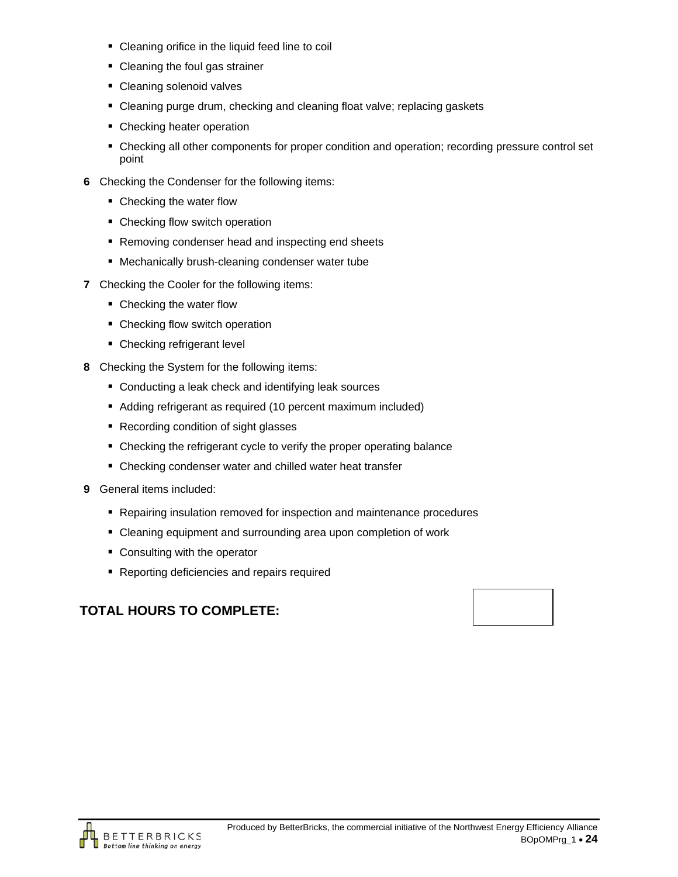- **EXTERN** Cleaning orifice in the liquid feed line to coil
- Cleaning the foul gas strainer
- Cleaning solenoid valves
- Cleaning purge drum, checking and cleaning float valve; replacing gaskets
- Checking heater operation
- Checking all other components for proper condition and operation; recording pressure control set point
- **6** Checking the Condenser for the following items:
	- Checking the water flow
	- Checking flow switch operation
	- Removing condenser head and inspecting end sheets
	- **Mechanically brush-cleaning condenser water tube**
- **7** Checking the Cooler for the following items:
	- Checking the water flow
	- Checking flow switch operation
	- Checking refrigerant level
- **8** Checking the System for the following items:
	- Conducting a leak check and identifying leak sources
	- Adding refrigerant as required (10 percent maximum included)
	- Recording condition of sight glasses
	- Checking the refrigerant cycle to verify the proper operating balance
	- Checking condenser water and chilled water heat transfer
- **9** General items included:
	- Repairing insulation removed for inspection and maintenance procedures
	- Cleaning equipment and surrounding area upon completion of work
	- **Consulting with the operator**
	- **Reporting deficiencies and repairs required**

## **TOTAL HOURS TO COMPLETE:**

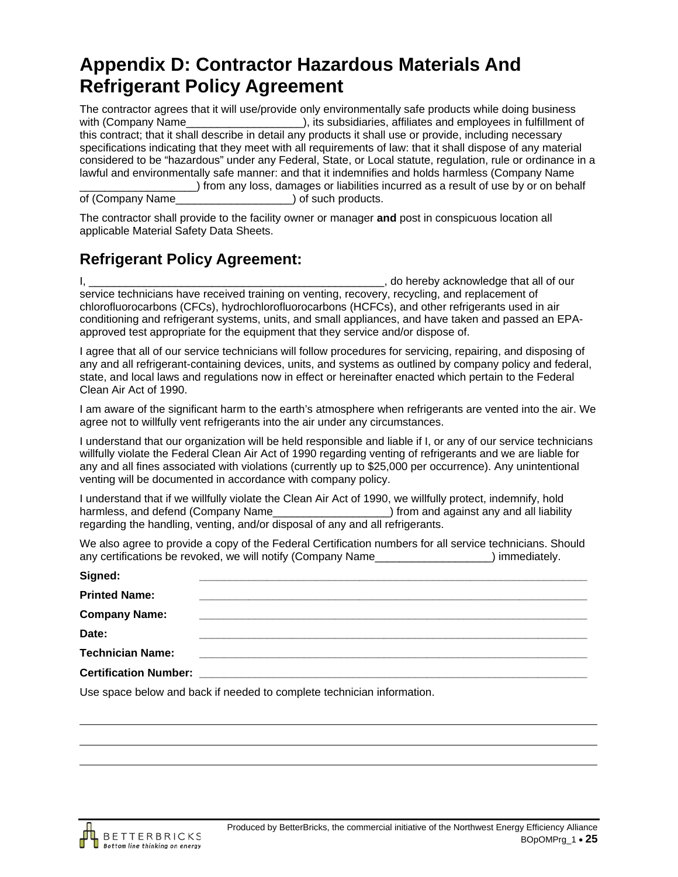# **Appendix D: Contractor Hazardous Materials And Refrigerant Policy Agreement**

The contractor agrees that it will use/provide only environmentally safe products while doing business with (Company Name The Company Name and Employees in fulfillment of this contract; that it shall describe in detail any products it shall use or provide, including necessary specifications indicating that they meet with all requirements of law: that it shall dispose of any material considered to be "hazardous" under any Federal, State, or Local statute, regulation, rule or ordinance in a lawful and environmentally safe manner: and that it indemnifies and holds harmless (Company Name \_\_\_\_\_\_\_\_\_\_\_\_\_\_\_\_\_\_\_) from any loss, damages or liabilities incurred as a result of use by or on behalf

of (Company Name\_\_\_\_\_\_\_\_\_\_\_\_\_\_\_\_\_\_\_) of such products.

The contractor shall provide to the facility owner or manager **and** post in conspicuous location all applicable Material Safety Data Sheets.

# **Refrigerant Policy Agreement:**

I, the contract of the contract of the contract of the contract of the contract of our contract of our contract of our contract of our contract of  $\alpha$ service technicians have received training on venting, recovery, recycling, and replacement of chlorofluorocarbons (CFCs), hydrochlorofluorocarbons (HCFCs), and other refrigerants used in air conditioning and refrigerant systems, units, and small appliances, and have taken and passed an EPAapproved test appropriate for the equipment that they service and/or dispose of.

I agree that all of our service technicians will follow procedures for servicing, repairing, and disposing of any and all refrigerant-containing devices, units, and systems as outlined by company policy and federal, state, and local laws and regulations now in effect or hereinafter enacted which pertain to the Federal Clean Air Act of 1990.

I am aware of the significant harm to the earth's atmosphere when refrigerants are vented into the air. We agree not to willfully vent refrigerants into the air under any circumstances.

I understand that our organization will be held responsible and liable if I, or any of our service technicians willfully violate the Federal Clean Air Act of 1990 regarding venting of refrigerants and we are liable for any and all fines associated with violations (currently up to \$25,000 per occurrence). Any unintentional venting will be documented in accordance with company policy.

I understand that if we willfully violate the Clean Air Act of 1990, we willfully protect, indemnify, hold harmless, and defend (Company Name \_\_\_\_\_\_\_\_\_\_\_\_\_\_\_\_\_\_\_\_\_\_\_) from and against any and all liability regarding the handling, venting, and/or disposal of any and all refrigerants.

We also agree to provide a copy of the Federal Certification numbers for all service technicians. Should any certifications be revoked, we will notify (Company Name\_\_\_\_\_\_\_\_\_\_\_\_\_\_\_\_\_\_\_) immediately.

| Signed:                 |                                                                        |
|-------------------------|------------------------------------------------------------------------|
| <b>Printed Name:</b>    |                                                                        |
| <b>Company Name:</b>    |                                                                        |
| Date:                   |                                                                        |
| <b>Technician Name:</b> |                                                                        |
|                         |                                                                        |
|                         | Use space below and back if needed to complete technician information. |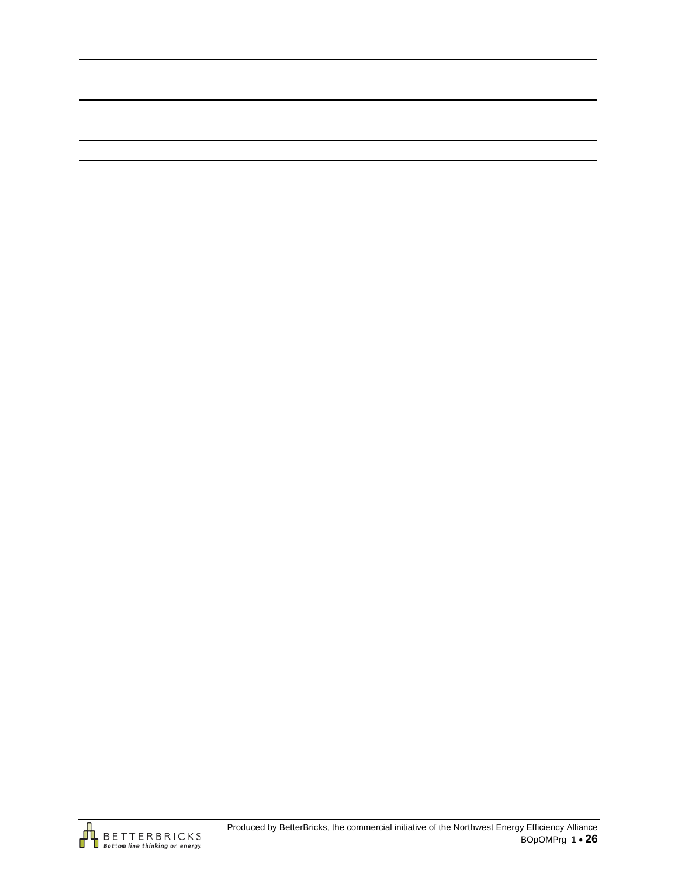